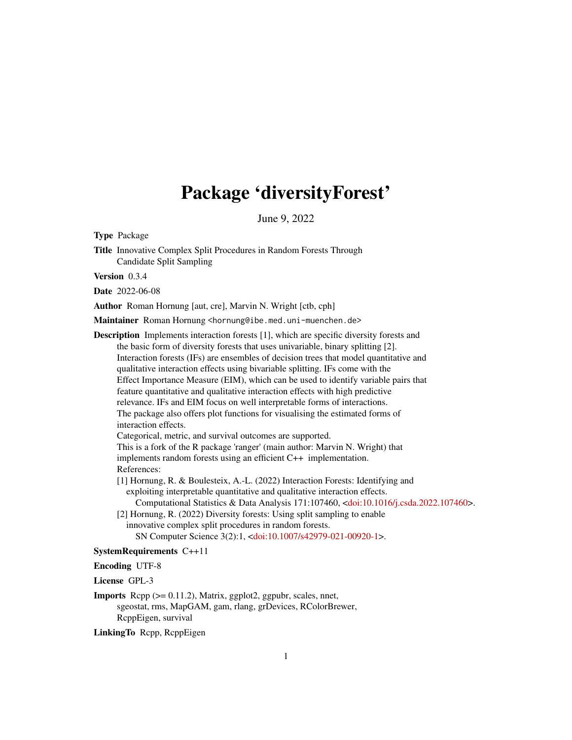# Package 'diversityForest'

June 9, 2022

Type Package

Title Innovative Complex Split Procedures in Random Forests Through Candidate Split Sampling

Version 0.3.4

Date 2022-06-08

Author Roman Hornung [aut, cre], Marvin N. Wright [ctb, cph]

Maintainer Roman Hornung <hornung@ibe.med.uni-muenchen.de>

Description Implements interaction forests [1], which are specific diversity forests and the basic form of diversity forests that uses univariable, binary splitting [2]. Interaction forests (IFs) are ensembles of decision trees that model quantitative and qualitative interaction effects using bivariable splitting. IFs come with the Effect Importance Measure (EIM), which can be used to identify variable pairs that feature quantitative and qualitative interaction effects with high predictive relevance. IFs and EIM focus on well interpretable forms of interactions. The package also offers plot functions for visualising the estimated forms of interaction effects.

Categorical, metric, and survival outcomes are supported.

This is a fork of the R package 'ranger' (main author: Marvin N. Wright) that implements random forests using an efficient C++ implementation. References:

[1] Hornung, R. & Boulesteix, A.-L. (2022) Interaction Forests: Identifying and exploiting interpretable quantitative and qualitative interaction effects.

Computational Statistics & Data Analysis 171:107460, [<doi:10.1016/j.csda.2022.107460>](https://doi.org/10.1016/j.csda.2022.107460).

[2] Hornung, R. (2022) Diversity forests: Using split sampling to enable innovative complex split procedures in random forests.

SN Computer Science 3(2):1, [<doi:10.1007/s42979-021-00920-1>](https://doi.org/10.1007/s42979-021-00920-1).

#### SystemRequirements C++11

Encoding UTF-8

License GPL-3

**Imports** Rcpp  $(>= 0.11.2)$ , Matrix, ggplot2, ggpubr, scales, nnet, sgeostat, rms, MapGAM, gam, rlang, grDevices, RColorBrewer, RcppEigen, survival

LinkingTo Rcpp, RcppEigen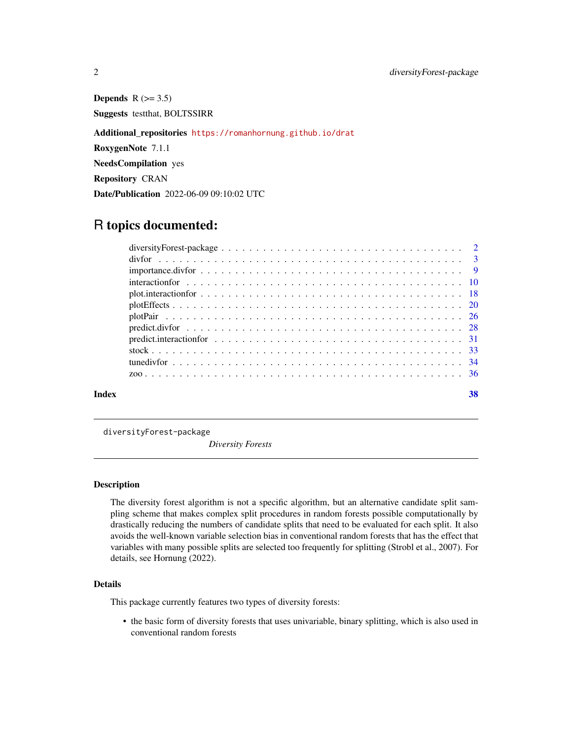Depends  $R$  ( $> = 3.5$ ) Suggests testthat, BOLTSSIRR Additional\_repositories <https://romanhornung.github.io/drat> RoxygenNote 7.1.1 NeedsCompilation yes Repository CRAN Date/Publication 2022-06-09 09:10:02 UTC

# R topics documented:

| Index | 38 |
|-------|----|
|       |    |
|       |    |
|       |    |
|       |    |
|       |    |
|       |    |
|       |    |
|       |    |
|       |    |
|       |    |
|       |    |
|       |    |

diversityForest-package

*Diversity Forests*

# Description

The diversity forest algorithm is not a specific algorithm, but an alternative candidate split sampling scheme that makes complex split procedures in random forests possible computationally by drastically reducing the numbers of candidate splits that need to be evaluated for each split. It also avoids the well-known variable selection bias in conventional random forests that has the effect that variables with many possible splits are selected too frequently for splitting (Strobl et al., 2007). For details, see Hornung (2022).

# Details

This package currently features two types of diversity forests:

• the basic form of diversity forests that uses univariable, binary splitting, which is also used in conventional random forests

<span id="page-1-0"></span>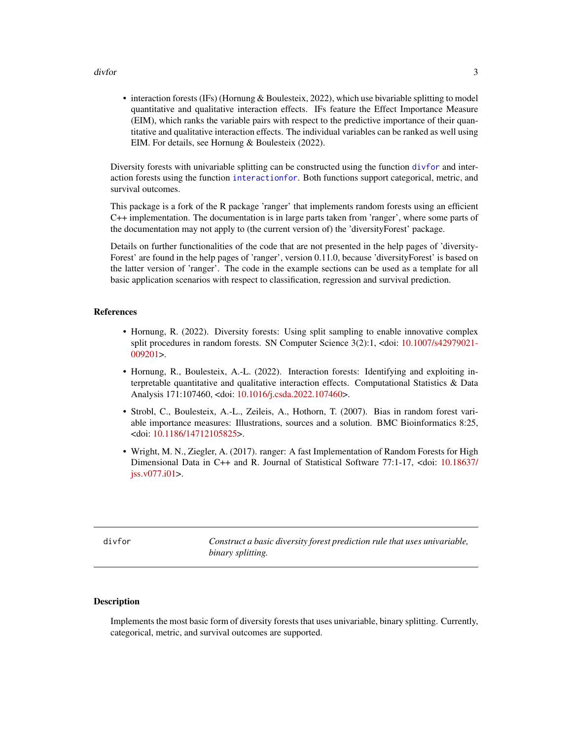#### <span id="page-2-0"></span>divfor the state of the state of the state of the state of the state of the state of the state of the state of the state of the state of the state of the state of the state of the state of the state of the state of the sta

• interaction forests (IFs) (Hornung & Boulesteix, 2022), which use bivariable splitting to model quantitative and qualitative interaction effects. IFs feature the Effect Importance Measure (EIM), which ranks the variable pairs with respect to the predictive importance of their quantitative and qualitative interaction effects. The individual variables can be ranked as well using EIM. For details, see Hornung & Boulesteix (2022).

Diversity forests with univariable splitting can be constructed using the function [divfor](#page-2-1) and interaction forests using the function [interactionfor](#page-9-1). Both functions support categorical, metric, and survival outcomes.

This package is a fork of the R package 'ranger' that implements random forests using an efficient C++ implementation. The documentation is in large parts taken from 'ranger', where some parts of the documentation may not apply to (the current version of) the 'diversityForest' package.

Details on further functionalities of the code that are not presented in the help pages of 'diversity-Forest' are found in the help pages of 'ranger', version 0.11.0, because 'diversityForest' is based on the latter version of 'ranger'. The code in the example sections can be used as a template for all basic application scenarios with respect to classification, regression and survival prediction.

#### References

- Hornung, R. (2022). Diversity forests: Using split sampling to enable innovative complex split procedures in random forests. SN Computer Science 3(2):1, <doi: [10.1007/s42979021-](https://doi.org/10.1007/s42979-021-00920-1) [009201>](https://doi.org/10.1007/s42979-021-00920-1).
- Hornung, R., Boulesteix, A.-L. (2022). Interaction forests: Identifying and exploiting interpretable quantitative and qualitative interaction effects. Computational Statistics & Data Analysis 171:107460, <doi: [10.1016/j.csda.2022.107460>](https://doi.org/10.1016/j.csda.2022.107460).
- Strobl, C., Boulesteix, A.-L., Zeileis, A., Hothorn, T. (2007). Bias in random forest variable importance measures: Illustrations, sources and a solution. BMC Bioinformatics 8:25, <doi: [10.1186/14712105825>](https://doi.org/10.1186/1471-2105-8-25).
- Wright, M. N., Ziegler, A. (2017). ranger: A fast Implementation of Random Forests for High Dimensional Data in C++ and R. Journal of Statistical Software 77:1-17, <doi: [10.18637/](https://doi.org/10.18637/jss.v077.i01) [jss.v077.i01>](https://doi.org/10.18637/jss.v077.i01).

<span id="page-2-1"></span>divfor *Construct a basic diversity forest prediction rule that uses univariable, binary splitting.*

# Description

Implements the most basic form of diversity forests that uses univariable, binary splitting. Currently, categorical, metric, and survival outcomes are supported.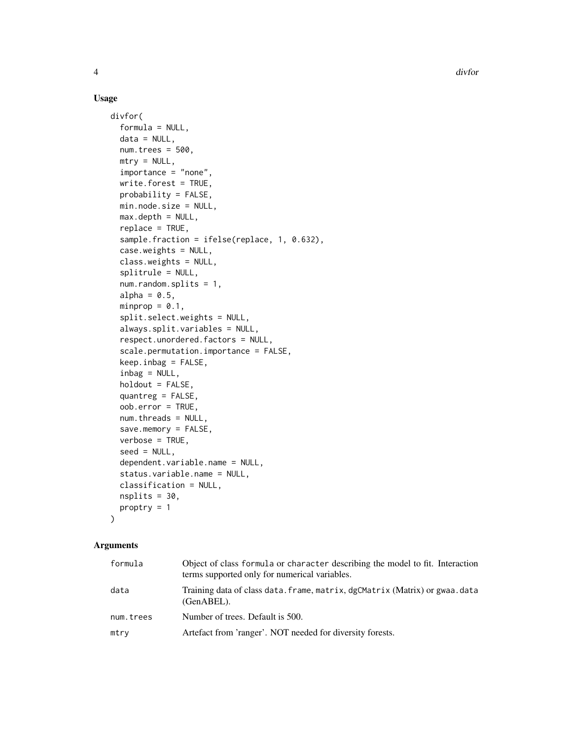# Usage

```
divfor(
  formula = NULL,
  data = NULL,
  num.trees = 500,
 mtry = NULL,importance = "none",
  write.forest = TRUE,
  probability = FALSE,
 min.node.size = NULL,
  max.depth = NULL,replace = TRUE,
  sample.fraction = ifelse(replace, 1, 0.632),
  case.weights = NULL,
  class.weights = NULL,
  splitrule = NULL,
  num.random.splits = 1,
  alpha = 0.5,
  minprop = 0.1,
  split.select.weights = NULL,
  always.split.variables = NULL,
  respect.unordered.factors = NULL,
  scale.permutation.importance = FALSE,
  keep.infoag = FALSE,inbag = NULL,holdout = FALSE,
  quantreg = FALSE,
  oob.error = TRUE,
  num.threads = NULL,
  save.memory = FALSE,
  verbose = TRUE,
  seed = NULL,
  dependent.variable.name = NULL,
  status.variable.name = NULL,
  classification = NULL,
  nsplits = 30,
  proptry = 1
\mathcal{L}
```
# Arguments

| formula   | Object of class formula or character describing the model to fit. Interaction<br>terms supported only for numerical variables. |
|-----------|--------------------------------------------------------------------------------------------------------------------------------|
| data      | Training data of class data. frame, matrix, dgCMatrix (Matrix) or gwaa. data<br>$(GenABEL)$ .                                  |
| num.trees | Number of trees. Default is 500.                                                                                               |
| mtry      | Artefact from 'ranger'. NOT needed for diversity forests.                                                                      |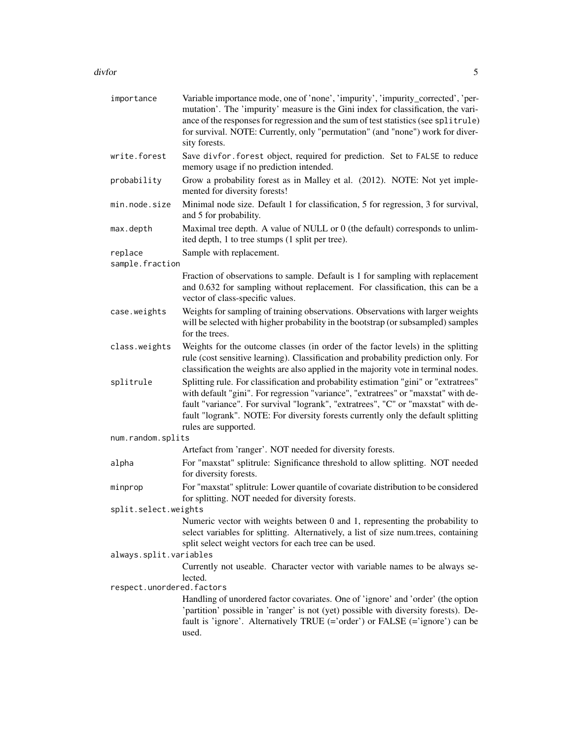#### divfor 5 to 3 and 3 and 3 and 3 and 3 and 3 and 3 and 3 and 3 and 3 and 3 and 3 and 3 and 3 and 3 and 3 and 3 and 3 and 3 and 3 and 3 and 3 and 3 and 3 and 3 and 3 and 3 and 3 and 3 and 3 and 3 and 3 and 3 and 3 and 3 and

| importance                | Variable importance mode, one of 'none', 'impurity', 'impurity_corrected', 'per-<br>mutation'. The 'impurity' measure is the Gini index for classification, the vari-<br>ance of the responses for regression and the sum of test statistics (see splitrule)<br>for survival. NOTE: Currently, only "permutation" (and "none") work for diver-<br>sity forests.              |
|---------------------------|------------------------------------------------------------------------------------------------------------------------------------------------------------------------------------------------------------------------------------------------------------------------------------------------------------------------------------------------------------------------------|
| write.forest              | Save divfor. forest object, required for prediction. Set to FALSE to reduce<br>memory usage if no prediction intended.                                                                                                                                                                                                                                                       |
| probability               | Grow a probability forest as in Malley et al. (2012). NOTE: Not yet imple-<br>mented for diversity forests!                                                                                                                                                                                                                                                                  |
| min.node.size             | Minimal node size. Default 1 for classification, 5 for regression, 3 for survival,<br>and 5 for probability.                                                                                                                                                                                                                                                                 |
| max.depth                 | Maximal tree depth. A value of NULL or 0 (the default) corresponds to unlim-<br>ited depth, 1 to tree stumps (1 split per tree).                                                                                                                                                                                                                                             |
| replace                   | Sample with replacement.                                                                                                                                                                                                                                                                                                                                                     |
| sample.fraction           |                                                                                                                                                                                                                                                                                                                                                                              |
|                           | Fraction of observations to sample. Default is 1 for sampling with replacement<br>and 0.632 for sampling without replacement. For classification, this can be a<br>vector of class-specific values.                                                                                                                                                                          |
| case.weights              | Weights for sampling of training observations. Observations with larger weights<br>will be selected with higher probability in the bootstrap (or subsampled) samples<br>for the trees.                                                                                                                                                                                       |
| class.weights             | Weights for the outcome classes (in order of the factor levels) in the splitting<br>rule (cost sensitive learning). Classification and probability prediction only. For<br>classification the weights are also applied in the majority vote in terminal nodes.                                                                                                               |
| splitrule                 | Splitting rule. For classification and probability estimation "gini" or "extratrees"<br>with default "gini". For regression "variance", "extratrees" or "maxstat" with de-<br>fault "variance". For survival "logrank", "extratrees", "C" or "maxstat" with de-<br>fault "logrank". NOTE: For diversity forests currently only the default splitting<br>rules are supported. |
| num.random.splits         |                                                                                                                                                                                                                                                                                                                                                                              |
|                           | Artefact from 'ranger'. NOT needed for diversity forests.                                                                                                                                                                                                                                                                                                                    |
| alpha                     | For "maxstat" splitrule: Significance threshold to allow splitting. NOT needed<br>for diversity forests.                                                                                                                                                                                                                                                                     |
| minprop                   | For "maxstat" splitrule: Lower quantile of covariate distribution to be considered<br>for splitting. NOT needed for diversity forests.                                                                                                                                                                                                                                       |
| split.select.weights      |                                                                                                                                                                                                                                                                                                                                                                              |
|                           | Numeric vector with weights between 0 and 1, representing the probability to<br>select variables for splitting. Alternatively, a list of size num.trees, containing<br>split select weight vectors for each tree can be used.                                                                                                                                                |
| always.split.variables    |                                                                                                                                                                                                                                                                                                                                                                              |
| respect.unordered.factors | Currently not useable. Character vector with variable names to be always se-<br>lected.                                                                                                                                                                                                                                                                                      |
|                           | Handling of unordered factor covariates. One of 'ignore' and 'order' (the option                                                                                                                                                                                                                                                                                             |
|                           | 'partition' possible in 'ranger' is not (yet) possible with diversity forests). De-<br>fault is 'ignore'. Alternatively TRUE (='order') or FALSE (='ignore') can be<br>used.                                                                                                                                                                                                 |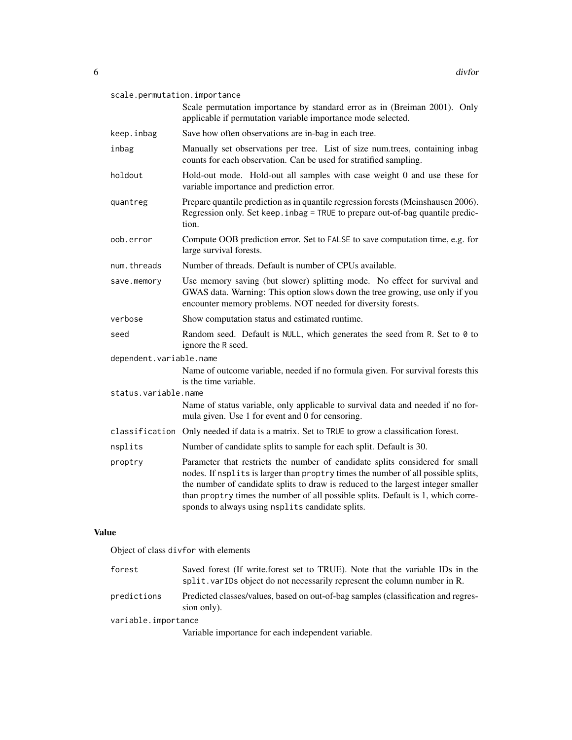| Scale permutation importance by standard error as in (Breiman 2001). Only<br>applicable if permutation variable importance mode selected.<br>keep.inbag<br>Save how often observations are in-bag in each tree.<br>Manually set observations per tree. List of size num.trees, containing inbag<br>inbag<br>counts for each observation. Can be used for stratified sampling.<br>Hold-out mode. Hold-out all samples with case weight 0 and use these for<br>holdout<br>variable importance and prediction error.<br>Prepare quantile prediction as in quantile regression forests (Meinshausen 2006).<br>quantreg<br>Regression only. Set keep. inbag = TRUE to prepare out-of-bag quantile predic-<br>tion.<br>Compute OOB prediction error. Set to FALSE to save computation time, e.g. for<br>oob.error<br>large survival forests.<br>Number of threads. Default is number of CPUs available.<br>num.threads<br>Use memory saving (but slower) splitting mode. No effect for survival and<br>save.memory<br>GWAS data. Warning: This option slows down the tree growing, use only if you<br>encounter memory problems. NOT needed for diversity forests.<br>verbose<br>Show computation status and estimated runtime.<br>Random seed. Default is NULL, which generates the seed from R. Set to 0 to<br>seed<br>ignore the R seed.<br>dependent.variable.name<br>Name of outcome variable, needed if no formula given. For survival forests this<br>is the time variable.<br>status.variable.name<br>Name of status variable, only applicable to survival data and needed if no for-<br>mula given. Use 1 for event and 0 for censoring.<br>classification Only needed if data is a matrix. Set to TRUE to grow a classification forest.<br>nsplits<br>Number of candidate splits to sample for each split. Default is 30.<br>Parameter that restricts the number of candidate splits considered for small<br>proptry<br>nodes. If nsplits is larger than proptry times the number of all possible splits,<br>the number of candidate splits to draw is reduced to the largest integer smaller<br>than proptry times the number of all possible splits. Default is 1, which corre-<br>sponds to always using nsplits candidate splits. | scale.permutation.importance |  |  |
|-------------------------------------------------------------------------------------------------------------------------------------------------------------------------------------------------------------------------------------------------------------------------------------------------------------------------------------------------------------------------------------------------------------------------------------------------------------------------------------------------------------------------------------------------------------------------------------------------------------------------------------------------------------------------------------------------------------------------------------------------------------------------------------------------------------------------------------------------------------------------------------------------------------------------------------------------------------------------------------------------------------------------------------------------------------------------------------------------------------------------------------------------------------------------------------------------------------------------------------------------------------------------------------------------------------------------------------------------------------------------------------------------------------------------------------------------------------------------------------------------------------------------------------------------------------------------------------------------------------------------------------------------------------------------------------------------------------------------------------------------------------------------------------------------------------------------------------------------------------------------------------------------------------------------------------------------------------------------------------------------------------------------------------------------------------------------------------------------------------------------------------------------------------------------------------------------------------------------------------------|------------------------------|--|--|
|                                                                                                                                                                                                                                                                                                                                                                                                                                                                                                                                                                                                                                                                                                                                                                                                                                                                                                                                                                                                                                                                                                                                                                                                                                                                                                                                                                                                                                                                                                                                                                                                                                                                                                                                                                                                                                                                                                                                                                                                                                                                                                                                                                                                                                           |                              |  |  |
|                                                                                                                                                                                                                                                                                                                                                                                                                                                                                                                                                                                                                                                                                                                                                                                                                                                                                                                                                                                                                                                                                                                                                                                                                                                                                                                                                                                                                                                                                                                                                                                                                                                                                                                                                                                                                                                                                                                                                                                                                                                                                                                                                                                                                                           |                              |  |  |
|                                                                                                                                                                                                                                                                                                                                                                                                                                                                                                                                                                                                                                                                                                                                                                                                                                                                                                                                                                                                                                                                                                                                                                                                                                                                                                                                                                                                                                                                                                                                                                                                                                                                                                                                                                                                                                                                                                                                                                                                                                                                                                                                                                                                                                           |                              |  |  |
|                                                                                                                                                                                                                                                                                                                                                                                                                                                                                                                                                                                                                                                                                                                                                                                                                                                                                                                                                                                                                                                                                                                                                                                                                                                                                                                                                                                                                                                                                                                                                                                                                                                                                                                                                                                                                                                                                                                                                                                                                                                                                                                                                                                                                                           |                              |  |  |
|                                                                                                                                                                                                                                                                                                                                                                                                                                                                                                                                                                                                                                                                                                                                                                                                                                                                                                                                                                                                                                                                                                                                                                                                                                                                                                                                                                                                                                                                                                                                                                                                                                                                                                                                                                                                                                                                                                                                                                                                                                                                                                                                                                                                                                           |                              |  |  |
|                                                                                                                                                                                                                                                                                                                                                                                                                                                                                                                                                                                                                                                                                                                                                                                                                                                                                                                                                                                                                                                                                                                                                                                                                                                                                                                                                                                                                                                                                                                                                                                                                                                                                                                                                                                                                                                                                                                                                                                                                                                                                                                                                                                                                                           |                              |  |  |
|                                                                                                                                                                                                                                                                                                                                                                                                                                                                                                                                                                                                                                                                                                                                                                                                                                                                                                                                                                                                                                                                                                                                                                                                                                                                                                                                                                                                                                                                                                                                                                                                                                                                                                                                                                                                                                                                                                                                                                                                                                                                                                                                                                                                                                           |                              |  |  |
|                                                                                                                                                                                                                                                                                                                                                                                                                                                                                                                                                                                                                                                                                                                                                                                                                                                                                                                                                                                                                                                                                                                                                                                                                                                                                                                                                                                                                                                                                                                                                                                                                                                                                                                                                                                                                                                                                                                                                                                                                                                                                                                                                                                                                                           |                              |  |  |
|                                                                                                                                                                                                                                                                                                                                                                                                                                                                                                                                                                                                                                                                                                                                                                                                                                                                                                                                                                                                                                                                                                                                                                                                                                                                                                                                                                                                                                                                                                                                                                                                                                                                                                                                                                                                                                                                                                                                                                                                                                                                                                                                                                                                                                           |                              |  |  |
|                                                                                                                                                                                                                                                                                                                                                                                                                                                                                                                                                                                                                                                                                                                                                                                                                                                                                                                                                                                                                                                                                                                                                                                                                                                                                                                                                                                                                                                                                                                                                                                                                                                                                                                                                                                                                                                                                                                                                                                                                                                                                                                                                                                                                                           |                              |  |  |
|                                                                                                                                                                                                                                                                                                                                                                                                                                                                                                                                                                                                                                                                                                                                                                                                                                                                                                                                                                                                                                                                                                                                                                                                                                                                                                                                                                                                                                                                                                                                                                                                                                                                                                                                                                                                                                                                                                                                                                                                                                                                                                                                                                                                                                           |                              |  |  |
|                                                                                                                                                                                                                                                                                                                                                                                                                                                                                                                                                                                                                                                                                                                                                                                                                                                                                                                                                                                                                                                                                                                                                                                                                                                                                                                                                                                                                                                                                                                                                                                                                                                                                                                                                                                                                                                                                                                                                                                                                                                                                                                                                                                                                                           |                              |  |  |
|                                                                                                                                                                                                                                                                                                                                                                                                                                                                                                                                                                                                                                                                                                                                                                                                                                                                                                                                                                                                                                                                                                                                                                                                                                                                                                                                                                                                                                                                                                                                                                                                                                                                                                                                                                                                                                                                                                                                                                                                                                                                                                                                                                                                                                           |                              |  |  |
|                                                                                                                                                                                                                                                                                                                                                                                                                                                                                                                                                                                                                                                                                                                                                                                                                                                                                                                                                                                                                                                                                                                                                                                                                                                                                                                                                                                                                                                                                                                                                                                                                                                                                                                                                                                                                                                                                                                                                                                                                                                                                                                                                                                                                                           |                              |  |  |
|                                                                                                                                                                                                                                                                                                                                                                                                                                                                                                                                                                                                                                                                                                                                                                                                                                                                                                                                                                                                                                                                                                                                                                                                                                                                                                                                                                                                                                                                                                                                                                                                                                                                                                                                                                                                                                                                                                                                                                                                                                                                                                                                                                                                                                           |                              |  |  |
|                                                                                                                                                                                                                                                                                                                                                                                                                                                                                                                                                                                                                                                                                                                                                                                                                                                                                                                                                                                                                                                                                                                                                                                                                                                                                                                                                                                                                                                                                                                                                                                                                                                                                                                                                                                                                                                                                                                                                                                                                                                                                                                                                                                                                                           |                              |  |  |
|                                                                                                                                                                                                                                                                                                                                                                                                                                                                                                                                                                                                                                                                                                                                                                                                                                                                                                                                                                                                                                                                                                                                                                                                                                                                                                                                                                                                                                                                                                                                                                                                                                                                                                                                                                                                                                                                                                                                                                                                                                                                                                                                                                                                                                           |                              |  |  |

# Value

Object of class divfor with elements

| Saved forest (If write forest set to TRUE). Note that the variable IDs in the<br>split. varIDs object do not necessarily represent the column number in R. |  |
|------------------------------------------------------------------------------------------------------------------------------------------------------------|--|
| Predicted classes/values, based on out-of-bag samples (classification and regres-<br>sion only).                                                           |  |
| variable.importance                                                                                                                                        |  |
| Variable importance for each independent variable.                                                                                                         |  |
|                                                                                                                                                            |  |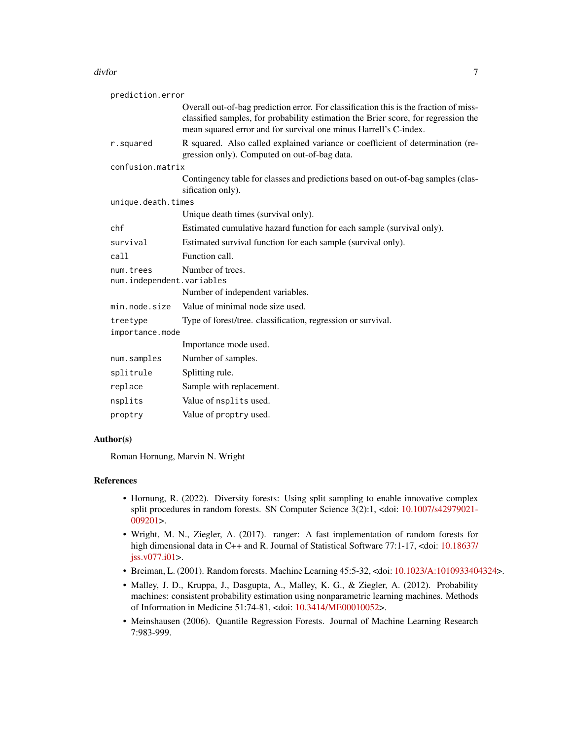#### divfor the contract of the contract of the contract of the contract of the contract of the contract of the contract of the contract of the contract of the contract of the contract of the contract of the contract of the con

| prediction.error                                           |                                                                                                                                                                                                                                                 |  |
|------------------------------------------------------------|-------------------------------------------------------------------------------------------------------------------------------------------------------------------------------------------------------------------------------------------------|--|
|                                                            | Overall out-of-bag prediction error. For classification this is the fraction of miss-<br>classified samples, for probability estimation the Brier score, for regression the<br>mean squared error and for survival one minus Harrell's C-index. |  |
| r.squared                                                  | R squared. Also called explained variance or coefficient of determination (re-<br>gression only). Computed on out-of-bag data.                                                                                                                  |  |
| confusion.matrix                                           |                                                                                                                                                                                                                                                 |  |
|                                                            | Contingency table for classes and predictions based on out-of-bag samples (clas-<br>sification only).                                                                                                                                           |  |
| unique.death.times                                         |                                                                                                                                                                                                                                                 |  |
|                                                            | Unique death times (survival only).                                                                                                                                                                                                             |  |
| chf                                                        | Estimated cumulative hazard function for each sample (survival only).                                                                                                                                                                           |  |
| survival                                                   | Estimated survival function for each sample (survival only).                                                                                                                                                                                    |  |
| call                                                       | Function call.                                                                                                                                                                                                                                  |  |
| Number of trees.<br>num.trees<br>num.independent.variables |                                                                                                                                                                                                                                                 |  |
|                                                            | Number of independent variables.                                                                                                                                                                                                                |  |
| min.node.size                                              | Value of minimal node size used.                                                                                                                                                                                                                |  |
| treetype                                                   | Type of forest/tree. classification, regression or survival.                                                                                                                                                                                    |  |
| importance.mode                                            |                                                                                                                                                                                                                                                 |  |
|                                                            | Importance mode used.                                                                                                                                                                                                                           |  |
| num.samples                                                | Number of samples.                                                                                                                                                                                                                              |  |
| splitrule                                                  | Splitting rule.                                                                                                                                                                                                                                 |  |
| replace                                                    | Sample with replacement.                                                                                                                                                                                                                        |  |
| nsplits                                                    | Value of nsplits used.                                                                                                                                                                                                                          |  |
| proptry                                                    | Value of proptry used.                                                                                                                                                                                                                          |  |

#### Author(s)

Roman Hornung, Marvin N. Wright

# References

- Hornung, R. (2022). Diversity forests: Using split sampling to enable innovative complex split procedures in random forests. SN Computer Science 3(2):1, <doi: [10.1007/s42979021-](https://doi.org/10.1007/s42979-021-00920-1) [009201>](https://doi.org/10.1007/s42979-021-00920-1).
- Wright, M. N., Ziegler, A. (2017). ranger: A fast implementation of random forests for high dimensional data in C++ and R. Journal of Statistical Software 77:1-17, <doi: [10.18637/](https://doi.org/10.18637/jss.v077.i01) [jss.v077.i01>](https://doi.org/10.18637/jss.v077.i01).
- Breiman, L. (2001). Random forests. Machine Learning 45:5-32, <doi: [10.1023/A:1010933404324>](https://doi.org/10.1023/A:1010933404324).
- Malley, J. D., Kruppa, J., Dasgupta, A., Malley, K. G., & Ziegler, A. (2012). Probability machines: consistent probability estimation using nonparametric learning machines. Methods of Information in Medicine 51:74-81, <doi: [10.3414/ME00010052>](https://doi.org/10.3414/ME00-01-0052).
- Meinshausen (2006). Quantile Regression Forests. Journal of Machine Learning Research 7:983-999.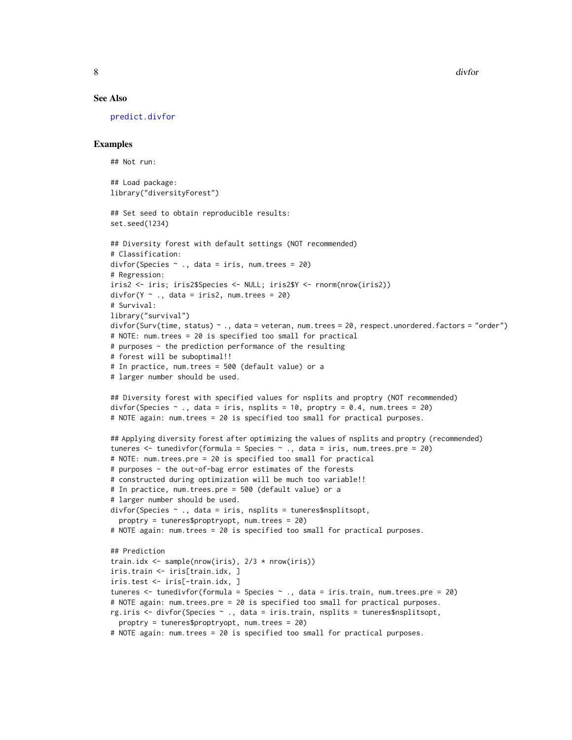#### See Also

[predict.divfor](#page-27-1)

# Examples

```
## Not run:
## Load package:
library("diversityForest")
## Set seed to obtain reproducible results:
set.seed(1234)
## Diversity forest with default settings (NOT recommended)
# Classification:
divfor(Species \sim ., data = iris, num. trees = 20)
# Regression:
iris2 <- iris; iris2$Species <- NULL; iris2$Y <- rnorm(nrow(iris2))
divfor(Y \sim., data = iris2, num.trees = 20)
# Survival:
library("survival")
divfor(Surv(time, status) ~ ., data = veteran, num.trees = 20, respect.unordered.factors = "order")
# NOTE: num.trees = 20 is specified too small for practical
# purposes - the prediction performance of the resulting
# forest will be suboptimal!!
# In practice, num.trees = 500 (default value) or a
# larger number should be used.
## Diversity forest with specified values for nsplits and proptry (NOT recommended)
divfor(Species \sim ., data = iris, nsplits = 10, proptry = 0.4, num.trees = 20)
# NOTE again: num.trees = 20 is specified too small for practical purposes.
## Applying diversity forest after optimizing the values of nsplits and proptry (recommended)
tuneres \le tunedivfor(formula = Species \sim ., data = iris, num.trees.pre = 20)
# NOTE: num.trees.pre = 20 is specified too small for practical
# purposes - the out-of-bag error estimates of the forests
# constructed during optimization will be much too variable!!
# In practice, num.trees.pre = 500 (default value) or a
# larger number should be used.
divfor(Species \sim ., data = iris, nsplits = tuneres$nsplitsopt,
  proptry = tuneres$proptryopt, num.trees = 20)
# NOTE again: num.trees = 20 is specified too small for practical purposes.
## Prediction
train.idx <- sample(nrow(iris), 2/3 * nrow(iris))
iris.train <- iris[train.idx, ]
iris.test <- iris[-train.idx, ]
tuneres <- tunedivfor(formula = Species ~ ., data = iris.train, num.trees.pre = 20)
# NOTE again: num.trees.pre = 20 is specified too small for practical purposes.
rg.iris <- divfor(Species ~ ., data = iris.train, nsplits = tuneres$nsplitsopt,
  proptry = tuneres$proptryopt, num.trees = 20)
# NOTE again: num.trees = 20 is specified too small for practical purposes.
```
<span id="page-7-0"></span>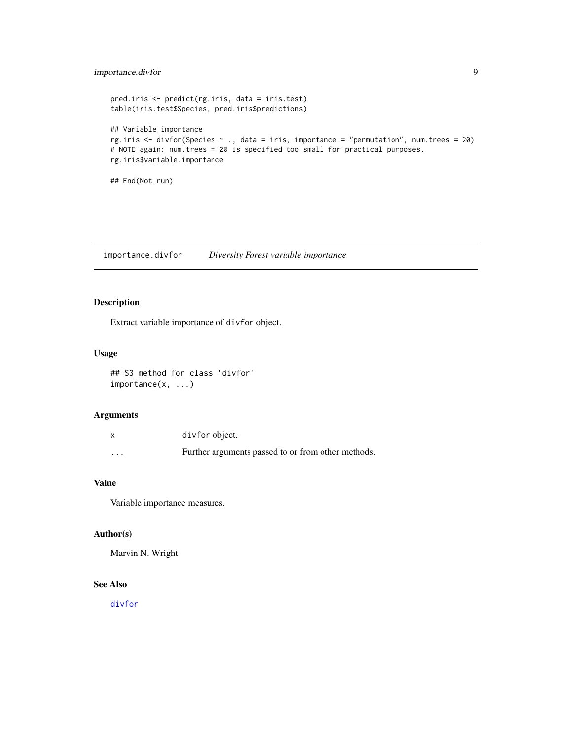# <span id="page-8-0"></span>importance.divfor 9

```
pred.iris <- predict(rg.iris, data = iris.test)
table(iris.test$Species, pred.iris$predictions)
## Variable importance
rg.iris <- divfor(Species ~ ., data = iris, importance = "permutation", num.trees = 20)
# NOTE again: num.trees = 20 is specified too small for practical purposes.
rg.iris$variable.importance
## End(Not run)
```
importance.divfor *Diversity Forest variable importance*

# Description

Extract variable importance of divfor object.

# Usage

```
## S3 method for class 'divfor'
importance(x, ...)
```
# Arguments

|          | divfor object.                                     |
|----------|----------------------------------------------------|
| $\cdots$ | Further arguments passed to or from other methods. |

# Value

Variable importance measures.

# Author(s)

Marvin N. Wright

# See Also

[divfor](#page-2-1)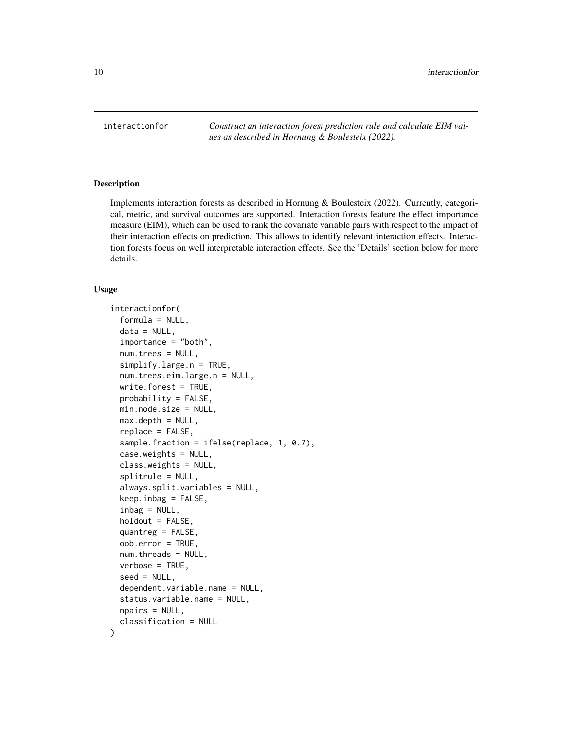<span id="page-9-1"></span><span id="page-9-0"></span>interactionfor *Construct an interaction forest prediction rule and calculate EIM values as described in Hornung & Boulesteix (2022).*

# Description

Implements interaction forests as described in Hornung & Boulesteix (2022). Currently, categorical, metric, and survival outcomes are supported. Interaction forests feature the effect importance measure (EIM), which can be used to rank the covariate variable pairs with respect to the impact of their interaction effects on prediction. This allows to identify relevant interaction effects. Interaction forests focus on well interpretable interaction effects. See the 'Details' section below for more details.

#### Usage

```
interactionfor(
  formula = NULL,
  data = NULL,importance = "both",
  num.trees = NULL,
  simplify.large.n = TRUE,
  num.trees.eim.large.n = NULL,
  write.forest = TRUE,probability = FALSE,
 min.node.size = NULL,
  max.depth = NULL,
  replace = FALSE,
  sample.fraction = ifelse(replace, 1, 0.7),
  case.weights = NULL,
  class.weights = NULL,
  splitrule = NULL,
  always.split.variables = NULL,
  keep.infoag = FALSE,inbag = NULL,holdout = FALSE,quantreg = FALSE,
  oob.error = TRUE,
  num.threads = NULL,
  verbose = TRUE,
  seed = NULL,
  dependent.variable.name = NULL,
  status.variable.name = NULL,
  npairs = NULL,
  classification = NULL
)
```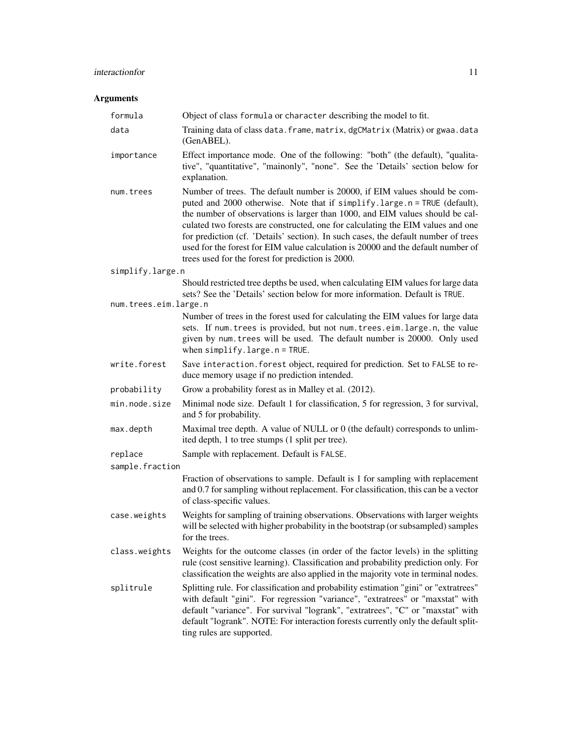# interactionfor 11

# Arguments

| formula               | Object of class formula or character describing the model to fit.                                                                                                                                                                                                                                                                                                                                                                                                                                                                                          |
|-----------------------|------------------------------------------------------------------------------------------------------------------------------------------------------------------------------------------------------------------------------------------------------------------------------------------------------------------------------------------------------------------------------------------------------------------------------------------------------------------------------------------------------------------------------------------------------------|
| data                  | Training data of class data. frame, matrix, dgCMatrix (Matrix) or gwaa. data<br>(GenABEL).                                                                                                                                                                                                                                                                                                                                                                                                                                                                 |
| importance            | Effect importance mode. One of the following: "both" (the default), "qualita-<br>tive", "quantitative", "mainonly", "none". See the 'Details' section below for<br>explanation.                                                                                                                                                                                                                                                                                                                                                                            |
| num.trees             | Number of trees. The default number is 20000, if EIM values should be com-<br>puted and 2000 otherwise. Note that if simplify.large.n = TRUE (default),<br>the number of observations is larger than 1000, and EIM values should be cal-<br>culated two forests are constructed, one for calculating the EIM values and one<br>for prediction (cf. 'Details' section). In such cases, the default number of trees<br>used for the forest for EIM value calculation is 20000 and the default number of<br>trees used for the forest for prediction is 2000. |
| simplify.large.n      |                                                                                                                                                                                                                                                                                                                                                                                                                                                                                                                                                            |
|                       | Should restricted tree depths be used, when calculating EIM values for large data<br>sets? See the 'Details' section below for more information. Default is TRUE.                                                                                                                                                                                                                                                                                                                                                                                          |
| num.trees.eim.large.n |                                                                                                                                                                                                                                                                                                                                                                                                                                                                                                                                                            |
|                       | Number of trees in the forest used for calculating the EIM values for large data<br>sets. If num. trees is provided, but not num. trees.eim. large.n, the value<br>given by num. trees will be used. The default number is 20000. Only used<br>when $simplify. large.n = TRUE.$                                                                                                                                                                                                                                                                            |
| write.forest          | Save interaction. forest object, required for prediction. Set to FALSE to re-<br>duce memory usage if no prediction intended.                                                                                                                                                                                                                                                                                                                                                                                                                              |
| probability           | Grow a probability forest as in Malley et al. (2012).                                                                                                                                                                                                                                                                                                                                                                                                                                                                                                      |
| min.node.size         | Minimal node size. Default 1 for classification, 5 for regression, 3 for survival,<br>and 5 for probability.                                                                                                                                                                                                                                                                                                                                                                                                                                               |
| max.depth             | Maximal tree depth. A value of NULL or 0 (the default) corresponds to unlim-<br>ited depth, 1 to tree stumps (1 split per tree).                                                                                                                                                                                                                                                                                                                                                                                                                           |
| replace               | Sample with replacement. Default is FALSE.                                                                                                                                                                                                                                                                                                                                                                                                                                                                                                                 |
| sample.fraction       |                                                                                                                                                                                                                                                                                                                                                                                                                                                                                                                                                            |
|                       | Fraction of observations to sample. Default is 1 for sampling with replacement<br>and 0.7 for sampling without replacement. For classification, this can be a vector<br>of class-specific values.                                                                                                                                                                                                                                                                                                                                                          |
| case.weights          | Weights for sampling of training observations. Observations with larger weights<br>will be selected with higher probability in the bootstrap (or subsampled) samples<br>for the trees.                                                                                                                                                                                                                                                                                                                                                                     |
| class.weights         | Weights for the outcome classes (in order of the factor levels) in the splitting<br>rule (cost sensitive learning). Classification and probability prediction only. For<br>classification the weights are also applied in the majority vote in terminal nodes.                                                                                                                                                                                                                                                                                             |
| splitrule             | Splitting rule. For classification and probability estimation "gini" or "extratrees"<br>with default "gini". For regression "variance", "extratrees" or "maxstat" with<br>default "variance". For survival "logrank", "extratrees", "C" or "maxstat" with<br>default "logrank". NOTE: For interaction forests currently only the default split-<br>ting rules are supported.                                                                                                                                                                               |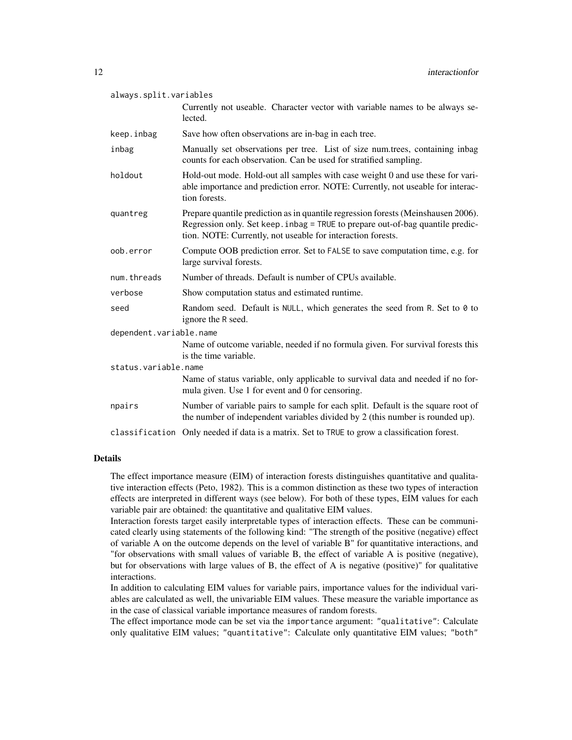| always.split.variables  |                                                                                                                                                                                                                                    |  |
|-------------------------|------------------------------------------------------------------------------------------------------------------------------------------------------------------------------------------------------------------------------------|--|
|                         | Currently not useable. Character vector with variable names to be always se-<br>lected.                                                                                                                                            |  |
| keep.inbag              | Save how often observations are in-bag in each tree.                                                                                                                                                                               |  |
| inbag                   | Manually set observations per tree. List of size num.trees, containing inbag<br>counts for each observation. Can be used for stratified sampling.                                                                                  |  |
| holdout                 | Hold-out mode. Hold-out all samples with case weight 0 and use these for vari-<br>able importance and prediction error. NOTE: Currently, not useable for interac-<br>tion forests.                                                 |  |
| quantreg                | Prepare quantile prediction as in quantile regression forests (Meinshausen 2006).<br>Regression only. Set keep. inbag = TRUE to prepare out-of-bag quantile predic-<br>tion. NOTE: Currently, not useable for interaction forests. |  |
| oob.error               | Compute OOB prediction error. Set to FALSE to save computation time, e.g. for<br>large survival forests.                                                                                                                           |  |
| num.threads             | Number of threads. Default is number of CPUs available.                                                                                                                                                                            |  |
| verbose                 | Show computation status and estimated runtime.                                                                                                                                                                                     |  |
| seed                    | Random seed. Default is NULL, which generates the seed from R. Set to 0 to<br>ignore the R seed.                                                                                                                                   |  |
| dependent.variable.name |                                                                                                                                                                                                                                    |  |
|                         | Name of outcome variable, needed if no formula given. For survival forests this<br>is the time variable.                                                                                                                           |  |
| status.variable.name    |                                                                                                                                                                                                                                    |  |
|                         | Name of status variable, only applicable to survival data and needed if no for-<br>mula given. Use 1 for event and 0 for censoring.                                                                                                |  |
| npairs                  | Number of variable pairs to sample for each split. Default is the square root of<br>the number of independent variables divided by 2 (this number is rounded up).                                                                  |  |
| classification          | Only needed if data is a matrix. Set to TRUE to grow a classification forest.                                                                                                                                                      |  |

# Details

The effect importance measure (EIM) of interaction forests distinguishes quantitative and qualitative interaction effects (Peto, 1982). This is a common distinction as these two types of interaction effects are interpreted in different ways (see below). For both of these types, EIM values for each variable pair are obtained: the quantitative and qualitative EIM values.

Interaction forests target easily interpretable types of interaction effects. These can be communicated clearly using statements of the following kind: "The strength of the positive (negative) effect of variable A on the outcome depends on the level of variable B" for quantitative interactions, and "for observations with small values of variable B, the effect of variable A is positive (negative), but for observations with large values of B, the effect of A is negative (positive)" for qualitative interactions.

In addition to calculating EIM values for variable pairs, importance values for the individual variables are calculated as well, the univariable EIM values. These measure the variable importance as in the case of classical variable importance measures of random forests.

The effect importance mode can be set via the importance argument: "qualitative": Calculate only qualitative EIM values; "quantitative": Calculate only quantitative EIM values; "both"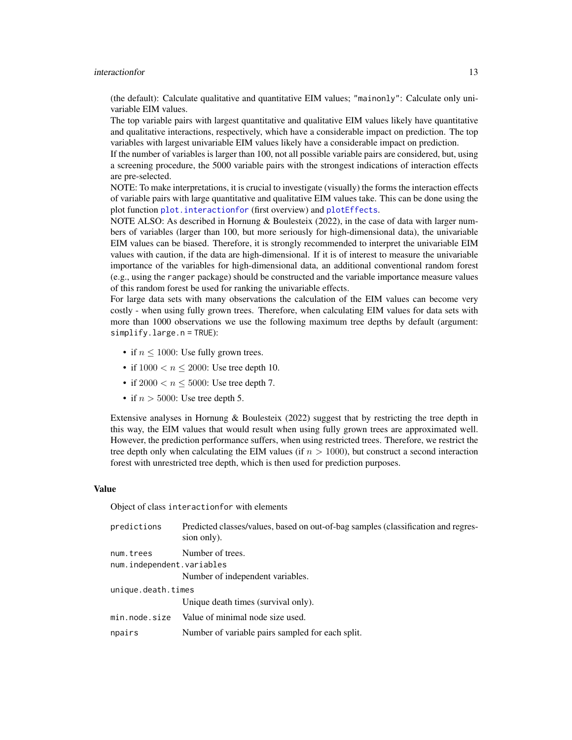#### <span id="page-12-0"></span>interactionfor the 13

(the default): Calculate qualitative and quantitative EIM values; "mainonly": Calculate only univariable EIM values.

The top variable pairs with largest quantitative and qualitative EIM values likely have quantitative and qualitative interactions, respectively, which have a considerable impact on prediction. The top variables with largest univariable EIM values likely have a considerable impact on prediction.

If the number of variables is larger than 100, not all possible variable pairs are considered, but, using a screening procedure, the 5000 variable pairs with the strongest indications of interaction effects are pre-selected.

NOTE: To make interpretations, it is crucial to investigate (visually) the forms the interaction effects of variable pairs with large quantitative and qualitative EIM values take. This can be done using the plot function plot. interactionfor (first overview) and [plotEffects](#page-19-1).

NOTE ALSO: As described in Hornung & Boulesteix (2022), in the case of data with larger numbers of variables (larger than 100, but more seriously for high-dimensional data), the univariable EIM values can be biased. Therefore, it is strongly recommended to interpret the univariable EIM values with caution, if the data are high-dimensional. If it is of interest to measure the univariable importance of the variables for high-dimensional data, an additional conventional random forest (e.g., using the ranger package) should be constructed and the variable importance measure values of this random forest be used for ranking the univariable effects.

For large data sets with many observations the calculation of the EIM values can become very costly - when using fully grown trees. Therefore, when calculating EIM values for data sets with more than 1000 observations we use the following maximum tree depths by default (argument: simplify.large.n = TRUE):

- if  $n \leq 1000$ : Use fully grown trees.
- if  $1000 < n < 2000$ : Use tree depth 10.
- if  $2000 < n \le 5000$ : Use tree depth 7.
- if  $n > 5000$ : Use tree depth 5.

Extensive analyses in Hornung & Boulesteix (2022) suggest that by restricting the tree depth in this way, the EIM values that would result when using fully grown trees are approximated well. However, the prediction performance suffers, when using restricted trees. Therefore, we restrict the tree depth only when calculating the EIM values (if  $n > 1000$ ), but construct a second interaction forest with unrestricted tree depth, which is then used for prediction purposes.

#### Value

Object of class interactionfor with elements

| predictions               | Predicted classes/values, based on out-of-bag samples (classification and regres-<br>sion only). |  |
|---------------------------|--------------------------------------------------------------------------------------------------|--|
| num.trees                 | Number of trees.                                                                                 |  |
| num.independent.variables |                                                                                                  |  |
|                           | Number of independent variables.                                                                 |  |
| unique.death.times        |                                                                                                  |  |
|                           | Unique death times (survival only).                                                              |  |
| min.node.size             | Value of minimal node size used.                                                                 |  |
| npairs                    | Number of variable pairs sampled for each split.                                                 |  |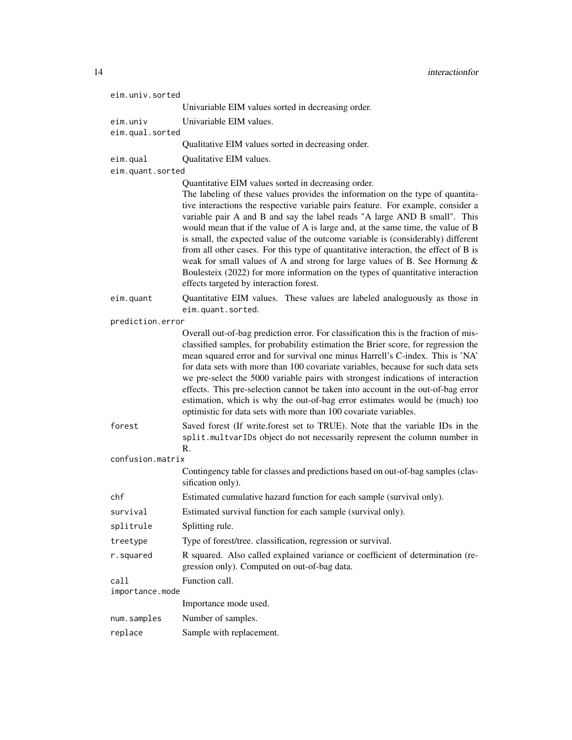| eim.univ.sorted             |                                                                                                                                                                                                                                                                                                                                                                                                                                                                                                                                                                                                                                                                                                                                                                                   |  |
|-----------------------------|-----------------------------------------------------------------------------------------------------------------------------------------------------------------------------------------------------------------------------------------------------------------------------------------------------------------------------------------------------------------------------------------------------------------------------------------------------------------------------------------------------------------------------------------------------------------------------------------------------------------------------------------------------------------------------------------------------------------------------------------------------------------------------------|--|
|                             | Univariable EIM values sorted in decreasing order.                                                                                                                                                                                                                                                                                                                                                                                                                                                                                                                                                                                                                                                                                                                                |  |
| eim.univ<br>eim.qual.sorted | Univariable EIM values.                                                                                                                                                                                                                                                                                                                                                                                                                                                                                                                                                                                                                                                                                                                                                           |  |
|                             | Qualitative EIM values sorted in decreasing order.                                                                                                                                                                                                                                                                                                                                                                                                                                                                                                                                                                                                                                                                                                                                |  |
| eim.qual                    | Qualitative EIM values.                                                                                                                                                                                                                                                                                                                                                                                                                                                                                                                                                                                                                                                                                                                                                           |  |
| eim.quant.sorted            |                                                                                                                                                                                                                                                                                                                                                                                                                                                                                                                                                                                                                                                                                                                                                                                   |  |
|                             | Quantitative EIM values sorted in decreasing order.<br>The labeling of these values provides the information on the type of quantita-<br>tive interactions the respective variable pairs feature. For example, consider a<br>variable pair A and B and say the label reads "A large AND B small". This<br>would mean that if the value of A is large and, at the same time, the value of B<br>is small, the expected value of the outcome variable is (considerably) different<br>from all other cases. For this type of quantitative interaction, the effect of B is<br>weak for small values of A and strong for large values of B. See Hornung &<br>Boulesteix (2022) for more information on the types of quantitative interaction<br>effects targeted by interaction forest. |  |
| eim.quant                   | Quantitative EIM values. These values are labeled analoguously as those in<br>eim.quant.sorted.                                                                                                                                                                                                                                                                                                                                                                                                                                                                                                                                                                                                                                                                                   |  |
| prediction.error            |                                                                                                                                                                                                                                                                                                                                                                                                                                                                                                                                                                                                                                                                                                                                                                                   |  |
|                             | Overall out-of-bag prediction error. For classification this is the fraction of mis-<br>classified samples, for probability estimation the Brier score, for regression the<br>mean squared error and for survival one minus Harrell's C-index. This is 'NA'<br>for data sets with more than 100 covariate variables, because for such data sets<br>we pre-select the 5000 variable pairs with strongest indications of interaction<br>effects. This pre-selection cannot be taken into account in the out-of-bag error<br>estimation, which is why the out-of-bag error estimates would be (much) too<br>optimistic for data sets with more than 100 covariate variables.                                                                                                         |  |
| forest                      | Saved forest (If write.forest set to TRUE). Note that the variable IDs in the<br>split.multvarIDs object do not necessarily represent the column number in<br>R.                                                                                                                                                                                                                                                                                                                                                                                                                                                                                                                                                                                                                  |  |
| confusion.matrix            |                                                                                                                                                                                                                                                                                                                                                                                                                                                                                                                                                                                                                                                                                                                                                                                   |  |
|                             | Contingency table for classes and predictions based on out-of-bag samples (clas-<br>sification only).                                                                                                                                                                                                                                                                                                                                                                                                                                                                                                                                                                                                                                                                             |  |
| chf                         | Estimated cumulative hazard function for each sample (survival only).                                                                                                                                                                                                                                                                                                                                                                                                                                                                                                                                                                                                                                                                                                             |  |
| survival                    | Estimated survival function for each sample (survival only).                                                                                                                                                                                                                                                                                                                                                                                                                                                                                                                                                                                                                                                                                                                      |  |
| splitrule                   | Splitting rule.                                                                                                                                                                                                                                                                                                                                                                                                                                                                                                                                                                                                                                                                                                                                                                   |  |
| treetype                    | Type of forest/tree. classification, regression or survival.                                                                                                                                                                                                                                                                                                                                                                                                                                                                                                                                                                                                                                                                                                                      |  |
| r.squared                   | R squared. Also called explained variance or coefficient of determination (re-<br>gression only). Computed on out-of-bag data.                                                                                                                                                                                                                                                                                                                                                                                                                                                                                                                                                                                                                                                    |  |
| call<br>importance.mode     | Function call.                                                                                                                                                                                                                                                                                                                                                                                                                                                                                                                                                                                                                                                                                                                                                                    |  |
|                             | Importance mode used.                                                                                                                                                                                                                                                                                                                                                                                                                                                                                                                                                                                                                                                                                                                                                             |  |
| num.samples                 | Number of samples.                                                                                                                                                                                                                                                                                                                                                                                                                                                                                                                                                                                                                                                                                                                                                                |  |
| replace                     | Sample with replacement.                                                                                                                                                                                                                                                                                                                                                                                                                                                                                                                                                                                                                                                                                                                                                          |  |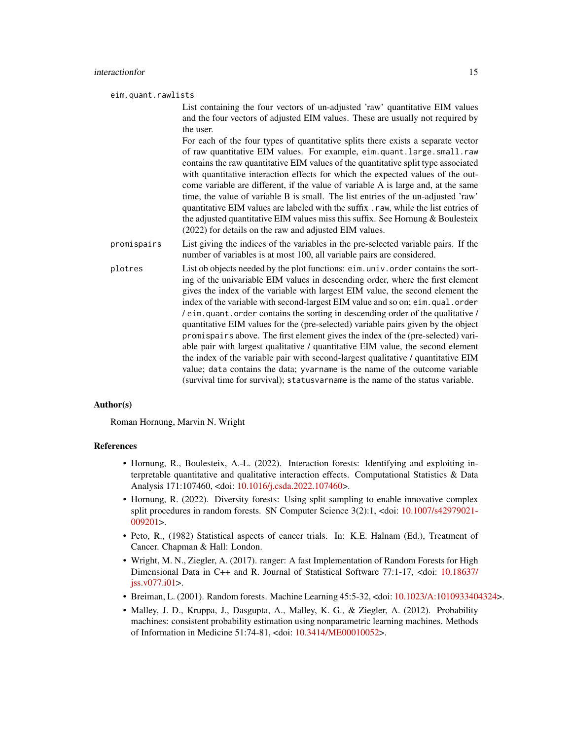eim.quant.rawlists

List containing the four vectors of un-adjusted 'raw' quantitative EIM values and the four vectors of adjusted EIM values. These are usually not required by the user.

For each of the four types of quantitative splits there exists a separate vector of raw quantitative EIM values. For example, eim.quant.large.small.raw contains the raw quantitative EIM values of the quantitative split type associated with quantitative interaction effects for which the expected values of the outcome variable are different, if the value of variable A is large and, at the same time, the value of variable B is small. The list entries of the un-adjusted 'raw' quantitative EIM values are labeled with the suffix .raw, while the list entries of the adjusted quantitative EIM values miss this suffix. See Hornung & Boulesteix (2022) for details on the raw and adjusted EIM values.

- promispairs List giving the indices of the variables in the pre-selected variable pairs. If the number of variables is at most 100, all variable pairs are considered.
- plotres List ob objects needed by the plot functions: eim.univ.order contains the sorting of the univariable EIM values in descending order, where the first element gives the index of the variable with largest EIM value, the second element the index of the variable with second-largest EIM value and so on; eim.qual.order / eim.quant.order contains the sorting in descending order of the qualitative / quantitative EIM values for the (pre-selected) variable pairs given by the object promispairs above. The first element gives the index of the (pre-selected) variable pair with largest qualitative / quantitative EIM value, the second element the index of the variable pair with second-largest qualitative / quantitative EIM value; data contains the data; yvarname is the name of the outcome variable (survival time for survival); statusvarname is the name of the status variable.

#### Author(s)

Roman Hornung, Marvin N. Wright

#### References

- Hornung, R., Boulesteix, A.-L. (2022). Interaction forests: Identifying and exploiting interpretable quantitative and qualitative interaction effects. Computational Statistics & Data Analysis 171:107460, <doi: [10.1016/j.csda.2022.107460>](https://doi.org/10.1016/j.csda.2022.107460).
- Hornung, R. (2022). Diversity forests: Using split sampling to enable innovative complex split procedures in random forests. SN Computer Science 3(2):1, <doi: [10.1007/s42979021-](https://doi.org/10.1007/s42979-021-00920-1) [009201>](https://doi.org/10.1007/s42979-021-00920-1).
- Peto, R., (1982) Statistical aspects of cancer trials. In: K.E. Halnam (Ed.), Treatment of Cancer. Chapman & Hall: London.
- Wright, M. N., Ziegler, A. (2017). ranger: A fast Implementation of Random Forests for High Dimensional Data in C++ and R. Journal of Statistical Software 77:1-17, <doi: [10.18637/](https://doi.org/10.18637/jss.v077.i01)  $is s.v077.i01$
- Breiman, L. (2001). Random forests. Machine Learning 45:5-32, <doi: [10.1023/A:1010933404324>](https://doi.org/10.1023/A:1010933404324).
- Malley, J. D., Kruppa, J., Dasgupta, A., Malley, K. G., & Ziegler, A. (2012). Probability machines: consistent probability estimation using nonparametric learning machines. Methods of Information in Medicine 51:74-81, <doi: [10.3414/ME00010052>](https://doi.org/10.3414/ME00-01-0052).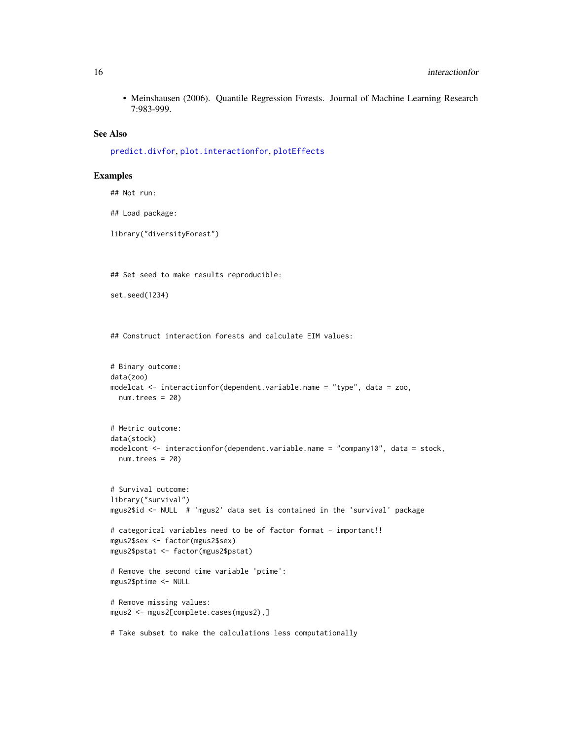<span id="page-15-0"></span>• Meinshausen (2006). Quantile Regression Forests. Journal of Machine Learning Research 7:983-999.

# See Also

```
predict.divfor, plot.interactionfor, plotEffects
```
# Examples

```
## Not run:
## Load package:
library("diversityForest")
## Set seed to make results reproducible:
set.seed(1234)
## Construct interaction forests and calculate EIM values:
# Binary outcome:
data(zoo)
modelcat <- interactionfor(dependent.variable.name = "type", data = zoo,
 num.trees = 20# Metric outcome:
data(stock)
modelcont <- interactionfor(dependent.variable.name = "company10", data = stock,
  num.trees = 20)
# Survival outcome:
library("survival")
mgus2$id <- NULL # 'mgus2' data set is contained in the 'survival' package
# categorical variables need to be of factor format - important!!
mgus2$sex <- factor(mgus2$sex)
mgus2$pstat <- factor(mgus2$pstat)
# Remove the second time variable 'ptime':
mgus2$ptime <- NULL
# Remove missing values:
mgus2 <- mgus2[complete.cases(mgus2),]
# Take subset to make the calculations less computationally
```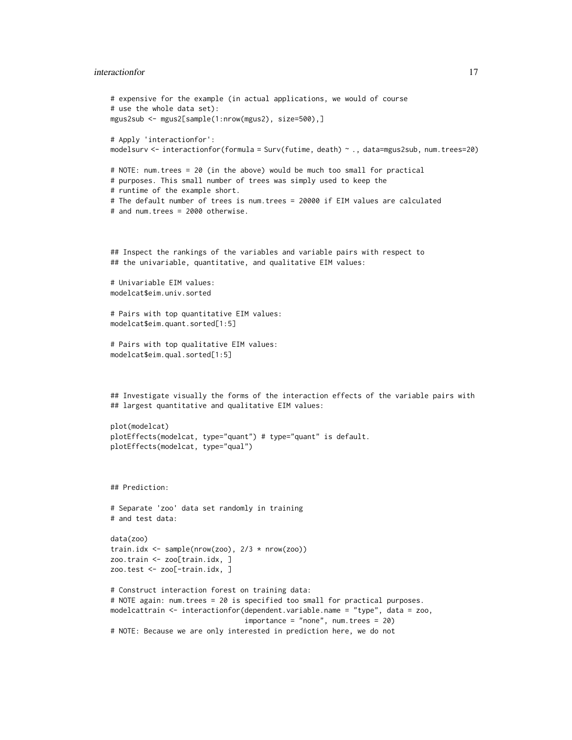# interactionfor the contraction of the contraction of the contraction of the contraction of the contraction of the contraction of the contraction of the contraction of the contraction of the contraction of the contraction o

```
# expensive for the example (in actual applications, we would of course
# use the whole data set):
mgus2sub <- mgus2[sample(1:nrow(mgus2), size=500),]
# Apply 'interactionfor':
modelsurv <- interactionfor(formula = Surv(futime, death) ~ ., data=mgus2sub, num.trees=20)
# NOTE: num.trees = 20 (in the above) would be much too small for practical
# purposes. This small number of trees was simply used to keep the
# runtime of the example short.
# The default number of trees is num.trees = 20000 if EIM values are calculated
# and num.trees = 2000 otherwise.
## Inspect the rankings of the variables and variable pairs with respect to
## the univariable, quantitative, and qualitative EIM values:
# Univariable EIM values:
modelcat$eim.univ.sorted
# Pairs with top quantitative EIM values:
modelcat$eim.quant.sorted[1:5]
# Pairs with top qualitative EIM values:
modelcat$eim.qual.sorted[1:5]
## Investigate visually the forms of the interaction effects of the variable pairs with
## largest quantitative and qualitative EIM values:
plot(modelcat)
plotEffects(modelcat, type="quant") # type="quant" is default.
plotEffects(modelcat, type="qual")
## Prediction:
# Separate 'zoo' data set randomly in training
# and test data:
data(zoo)
train.idx \leq sample(nrow(zoo), 2/3 * nrow(zoo))
zoo.train <- zoo[train.idx, ]
zoo.test <- zoo[-train.idx, ]
# Construct interaction forest on training data:
# NOTE again: num.trees = 20 is specified too small for practical purposes.
modelcattrain <- interactionfor(dependent.variable.name = "type", data = zoo,
                                importance = "none", num.trees = 20)
# NOTE: Because we are only interested in prediction here, we do not
```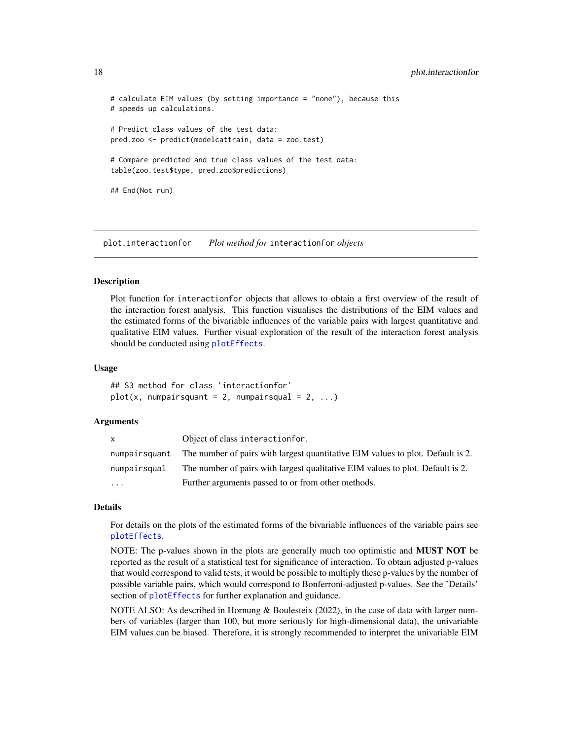# calculate EIM values (by setting importance = "none"), because this # speeds up calculations. # Predict class values of the test data: pred.zoo <- predict(modelcattrain, data = zoo.test) # Compare predicted and true class values of the test data: table(zoo.test\$type, pred.zoo\$predictions) ## End(Not run)

<span id="page-17-1"></span>plot.interactionfor *Plot method for* interactionfor *objects*

#### Description

Plot function for interactionfor objects that allows to obtain a first overview of the result of the interaction forest analysis. This function visualises the distributions of the EIM values and the estimated forms of the bivariable influences of the variable pairs with largest quantitative and qualitative EIM values. Further visual exploration of the result of the interaction forest analysis should be conducted using [plotEffects](#page-19-1).

# Usage

## S3 method for class 'interactionfor'  $plot(x, numpairsquant = 2, numpairsqual = 2, ...)$ 

# Arguments

| x             | Object of class interaction for.                                                |
|---------------|---------------------------------------------------------------------------------|
| numpairsquant | The number of pairs with largest quantitative EIM values to plot. Default is 2. |
| numpairsqual  | The number of pairs with largest qualitative EIM values to plot. Default is 2.  |
| $\cdots$      | Further arguments passed to or from other methods.                              |

#### Details

For details on the plots of the estimated forms of the bivariable influences of the variable pairs see [plotEffects](#page-19-1).

NOTE: The p-values shown in the plots are generally much too optimistic and MUST NOT be reported as the result of a statistical test for significance of interaction. To obtain adjusted p-values that would correspond to valid tests, it would be possible to multiply these p-values by the number of possible variable pairs, which would correspond to Bonferroni-adjusted p-values. See the 'Details' section of [plotEffects](#page-19-1) for further explanation and guidance.

NOTE ALSO: As described in Hornung & Boulesteix (2022), in the case of data with larger numbers of variables (larger than 100, but more seriously for high-dimensional data), the univariable EIM values can be biased. Therefore, it is strongly recommended to interpret the univariable EIM

<span id="page-17-0"></span>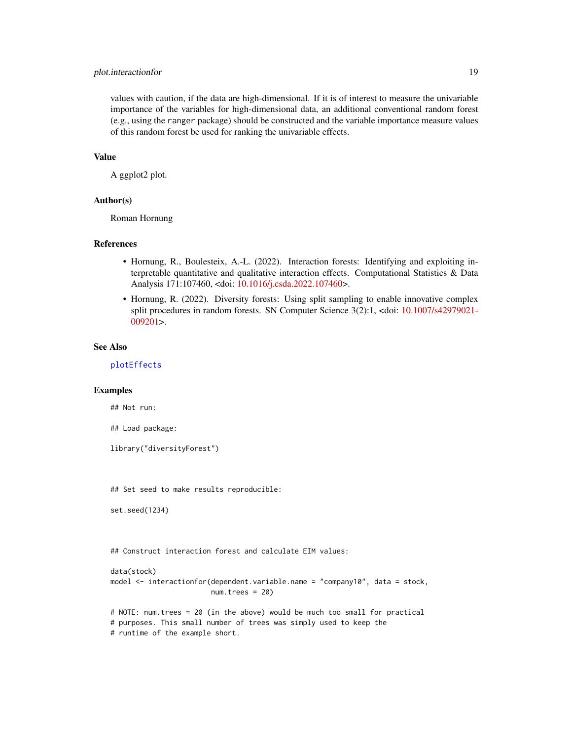# <span id="page-18-0"></span>plot.interactionfor 19

values with caution, if the data are high-dimensional. If it is of interest to measure the univariable importance of the variables for high-dimensional data, an additional conventional random forest (e.g., using the ranger package) should be constructed and the variable importance measure values of this random forest be used for ranking the univariable effects.

# Value

A ggplot2 plot.

#### Author(s)

Roman Hornung

#### References

- Hornung, R., Boulesteix, A.-L. (2022). Interaction forests: Identifying and exploiting interpretable quantitative and qualitative interaction effects. Computational Statistics  $\&$  Data Analysis 171:107460, <doi: [10.1016/j.csda.2022.107460>](https://doi.org/10.1016/j.csda.2022.107460).
- Hornung, R. (2022). Diversity forests: Using split sampling to enable innovative complex split procedures in random forests. SN Computer Science 3(2):1, <doi: [10.1007/s42979021-](https://doi.org/10.1007/s42979-021-00920-1) [009201>](https://doi.org/10.1007/s42979-021-00920-1).

#### See Also

[plotEffects](#page-19-1)

# Examples

## Not run:

## Load package:

library("diversityForest")

## Set seed to make results reproducible:

```
set.seed(1234)
```
## Construct interaction forest and calculate EIM values:

```
data(stock)
model <- interactionfor(dependent.variable.name = "company10", data = stock,
                        num.trees = 20)
```
# NOTE: num.trees = 20 (in the above) would be much too small for practical # purposes. This small number of trees was simply used to keep the # runtime of the example short.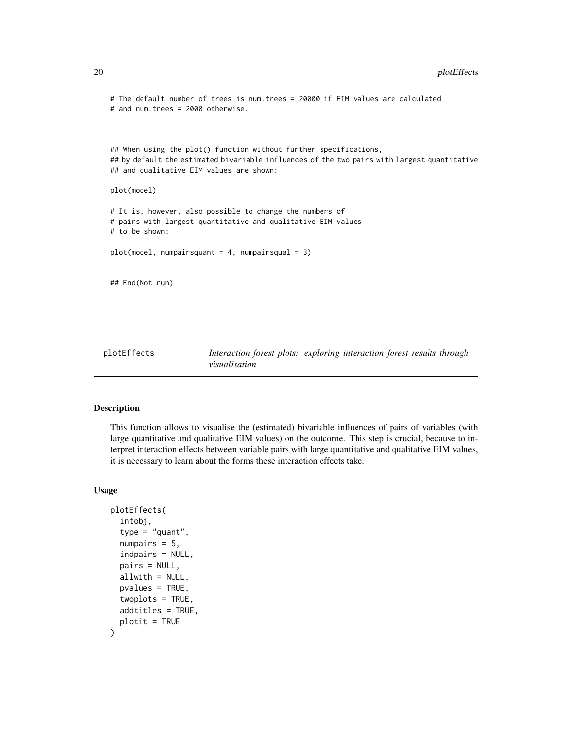```
# The default number of trees is num.trees = 20000 if EIM values are calculated
# and num.trees = 2000 otherwise.
## When using the plot() function without further specifications,
## by default the estimated bivariable influences of the two pairs with largest quantitative
## and qualitative EIM values are shown:
plot(model)
# It is, however, also possible to change the numbers of
# pairs with largest quantitative and qualitative EIM values
# to be shown:
plot(model, numpairsquant = 4, numpairsqual = 3)
## End(Not run)
```
<span id="page-19-1"></span>plotEffects *Interaction forest plots: exploring interaction forest results through visualisation*

#### Description

This function allows to visualise the (estimated) bivariable influences of pairs of variables (with large quantitative and qualitative EIM values) on the outcome. This step is crucial, because to interpret interaction effects between variable pairs with large quantitative and qualitative EIM values, it is necessary to learn about the forms these interaction effects take.

#### Usage

```
plotEffects(
  intobj,
  type = "quant",
  numpairs = 5,
  indpairs = NULL,
  pairs = NULL,
  allwith = NULL,pvalues = TRUE,
  twoplots = TRUE,
  addtitles = TRUE,
 plotit = TRUE
)
```
<span id="page-19-0"></span>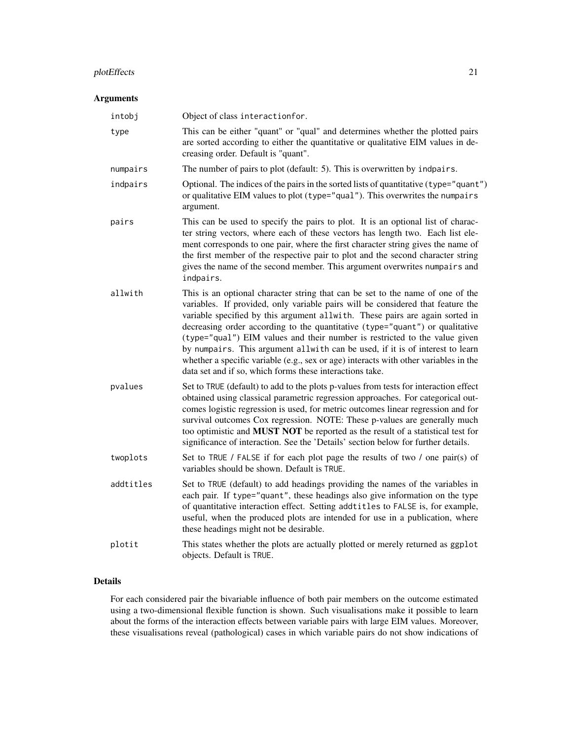# plotEffects 21

# Arguments

| intobj    | Object of class interactionfor.                                                                                                                                                                                                                                                                                                                                                                                                                                                                                                                                                                                                                      |
|-----------|------------------------------------------------------------------------------------------------------------------------------------------------------------------------------------------------------------------------------------------------------------------------------------------------------------------------------------------------------------------------------------------------------------------------------------------------------------------------------------------------------------------------------------------------------------------------------------------------------------------------------------------------------|
| type      | This can be either "quant" or "qual" and determines whether the plotted pairs<br>are sorted according to either the quantitative or qualitative EIM values in de-<br>creasing order. Default is "quant".                                                                                                                                                                                                                                                                                                                                                                                                                                             |
| numpairs  | The number of pairs to plot (default: 5). This is overwritten by indpairs.                                                                                                                                                                                                                                                                                                                                                                                                                                                                                                                                                                           |
| indpairs  | Optional. The indices of the pairs in the sorted lists of quantitative (type="quant")<br>or qualitative EIM values to plot (type="qual"). This overwrites the numpairs<br>argument.                                                                                                                                                                                                                                                                                                                                                                                                                                                                  |
| pairs     | This can be used to specify the pairs to plot. It is an optional list of charac-<br>ter string vectors, where each of these vectors has length two. Each list ele-<br>ment corresponds to one pair, where the first character string gives the name of<br>the first member of the respective pair to plot and the second character string<br>gives the name of the second member. This argument overwrites numpairs and<br>indpairs.                                                                                                                                                                                                                 |
| allwith   | This is an optional character string that can be set to the name of one of the<br>variables. If provided, only variable pairs will be considered that feature the<br>variable specified by this argument allwith. These pairs are again sorted in<br>decreasing order according to the quantitative (type="quant") or qualitative<br>(type="qual") EIM values and their number is restricted to the value given<br>by numpairs. This argument allwith can be used, if it is of interest to learn<br>whether a specific variable (e.g., sex or age) interacts with other variables in the<br>data set and if so, which forms these interactions take. |
| pvalues   | Set to TRUE (default) to add to the plots p-values from tests for interaction effect<br>obtained using classical parametric regression approaches. For categorical out-<br>comes logistic regression is used, for metric outcomes linear regression and for<br>survival outcomes Cox regression. NOTE: These p-values are generally much<br>too optimistic and MUST NOT be reported as the result of a statistical test for<br>significance of interaction. See the 'Details' section below for further details.                                                                                                                                     |
| twoplots  | Set to TRUE / FALSE if for each plot page the results of two / one pair(s) of<br>variables should be shown. Default is TRUE.                                                                                                                                                                                                                                                                                                                                                                                                                                                                                                                         |
| addtitles | Set to TRUE (default) to add headings providing the names of the variables in<br>each pair. If type="quant", these headings also give information on the type<br>of quantitative interaction effect. Setting addtitles to FALSE is, for example,<br>useful, when the produced plots are intended for use in a publication, where<br>these headings might not be desirable.                                                                                                                                                                                                                                                                           |
| plotit    | This states whether the plots are actually plotted or merely returned as ggplot<br>objects. Default is TRUE.                                                                                                                                                                                                                                                                                                                                                                                                                                                                                                                                         |

# Details

For each considered pair the bivariable influence of both pair members on the outcome estimated using a two-dimensional flexible function is shown. Such visualisations make it possible to learn about the forms of the interaction effects between variable pairs with large EIM values. Moreover, these visualisations reveal (pathological) cases in which variable pairs do not show indications of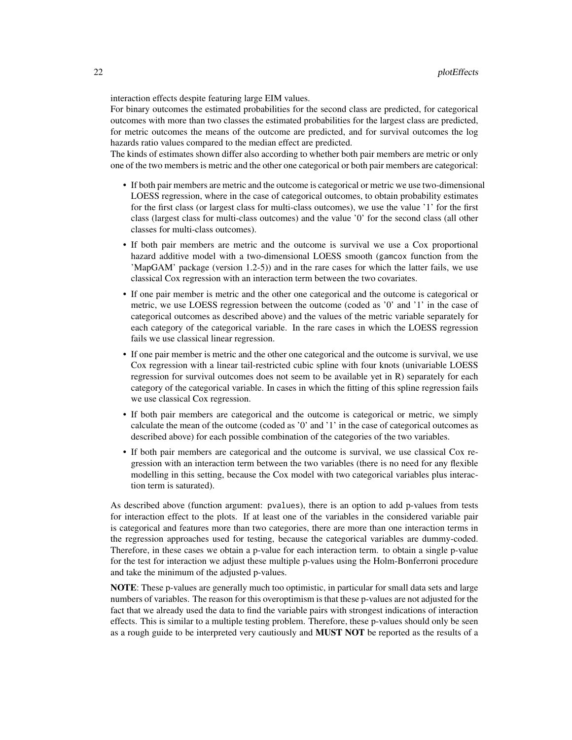interaction effects despite featuring large EIM values.

For binary outcomes the estimated probabilities for the second class are predicted, for categorical outcomes with more than two classes the estimated probabilities for the largest class are predicted, for metric outcomes the means of the outcome are predicted, and for survival outcomes the log hazards ratio values compared to the median effect are predicted.

The kinds of estimates shown differ also according to whether both pair members are metric or only one of the two members is metric and the other one categorical or both pair members are categorical:

- If both pair members are metric and the outcome is categorical or metric we use two-dimensional LOESS regression, where in the case of categorical outcomes, to obtain probability estimates for the first class (or largest class for multi-class outcomes), we use the value '1' for the first class (largest class for multi-class outcomes) and the value '0' for the second class (all other classes for multi-class outcomes).
- If both pair members are metric and the outcome is survival we use a Cox proportional hazard additive model with a two-dimensional LOESS smooth (gamcox function from the 'MapGAM' package (version 1.2-5)) and in the rare cases for which the latter fails, we use classical Cox regression with an interaction term between the two covariates.
- If one pair member is metric and the other one categorical and the outcome is categorical or metric, we use LOESS regression between the outcome (coded as '0' and '1' in the case of categorical outcomes as described above) and the values of the metric variable separately for each category of the categorical variable. In the rare cases in which the LOESS regression fails we use classical linear regression.
- If one pair member is metric and the other one categorical and the outcome is survival, we use Cox regression with a linear tail-restricted cubic spline with four knots (univariable LOESS regression for survival outcomes does not seem to be available yet in R) separately for each category of the categorical variable. In cases in which the fitting of this spline regression fails we use classical Cox regression.
- If both pair members are categorical and the outcome is categorical or metric, we simply calculate the mean of the outcome (coded as '0' and '1' in the case of categorical outcomes as described above) for each possible combination of the categories of the two variables.
- If both pair members are categorical and the outcome is survival, we use classical Cox regression with an interaction term between the two variables (there is no need for any flexible modelling in this setting, because the Cox model with two categorical variables plus interaction term is saturated).

As described above (function argument: pvalues), there is an option to add p-values from tests for interaction effect to the plots. If at least one of the variables in the considered variable pair is categorical and features more than two categories, there are more than one interaction terms in the regression approaches used for testing, because the categorical variables are dummy-coded. Therefore, in these cases we obtain a p-value for each interaction term. to obtain a single p-value for the test for interaction we adjust these multiple p-values using the Holm-Bonferroni procedure and take the minimum of the adjusted p-values.

NOTE: These p-values are generally much too optimistic, in particular for small data sets and large numbers of variables. The reason for this overoptimism is that these p-values are not adjusted for the fact that we already used the data to find the variable pairs with strongest indications of interaction effects. This is similar to a multiple testing problem. Therefore, these p-values should only be seen as a rough guide to be interpreted very cautiously and **MUST NOT** be reported as the results of a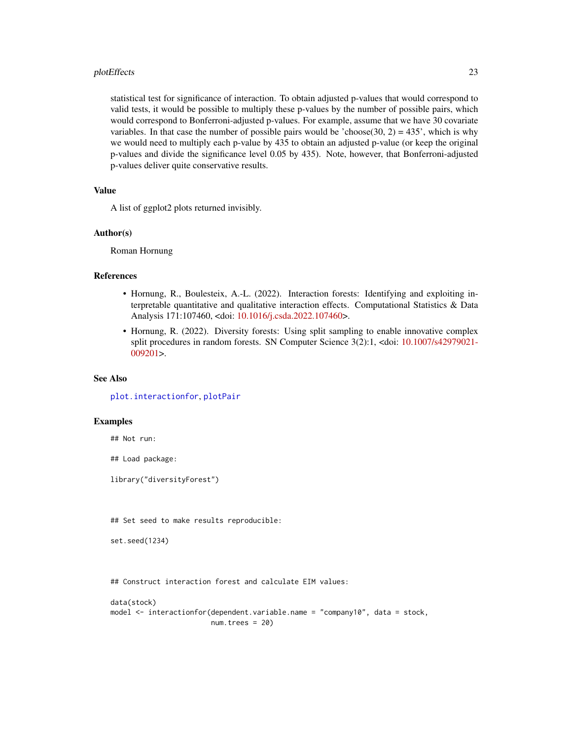#### <span id="page-22-0"></span>plotEffects 23

statistical test for significance of interaction. To obtain adjusted p-values that would correspond to valid tests, it would be possible to multiply these p-values by the number of possible pairs, which would correspond to Bonferroni-adjusted p-values. For example, assume that we have 30 covariate variables. In that case the number of possible pairs would be 'choose(30, 2) =  $435'$ , which is why we would need to multiply each p-value by 435 to obtain an adjusted p-value (or keep the original p-values and divide the significance level 0.05 by 435). Note, however, that Bonferroni-adjusted p-values deliver quite conservative results.

# Value

A list of ggplot2 plots returned invisibly.

#### Author(s)

Roman Hornung

#### References

- Hornung, R., Boulesteix, A.-L. (2022). Interaction forests: Identifying and exploiting interpretable quantitative and qualitative interaction effects. Computational Statistics & Data Analysis 171:107460, <doi: [10.1016/j.csda.2022.107460>](https://doi.org/10.1016/j.csda.2022.107460).
- Hornung, R. (2022). Diversity forests: Using split sampling to enable innovative complex split procedures in random forests. SN Computer Science 3(2):1, <doi: [10.1007/s42979021-](https://doi.org/10.1007/s42979-021-00920-1) [009201>](https://doi.org/10.1007/s42979-021-00920-1).

# See Also

[plot.interactionfor](#page-17-1), [plotPair](#page-25-1)

# Examples

## Not run:

## Load package:

library("diversityForest")

## Set seed to make results reproducible:

```
set.seed(1234)
```
## Construct interaction forest and calculate EIM values:

```
data(stock)
model <- interactionfor(dependent.variable.name = "company10", data = stock,
                        num.trees = 20)
```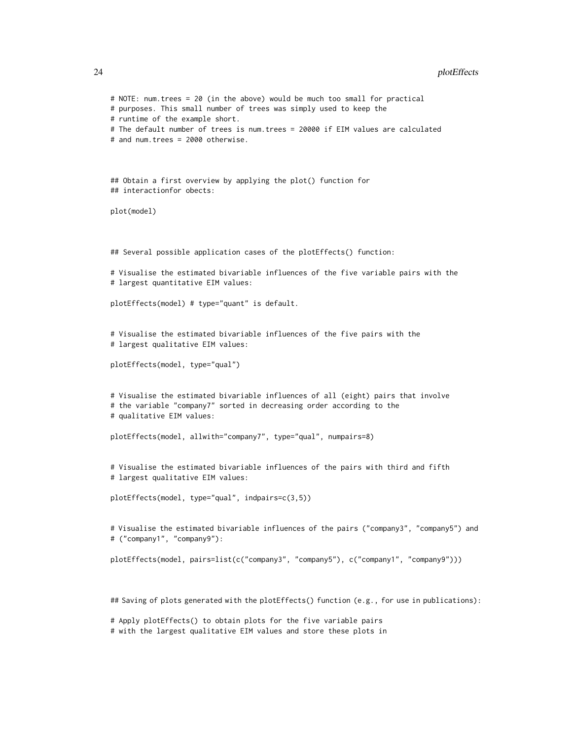```
# NOTE: num.trees = 20 (in the above) would be much too small for practical
# purposes. This small number of trees was simply used to keep the
# runtime of the example short.
# The default number of trees is num.trees = 20000 if EIM values are calculated
# and num.trees = 2000 otherwise.
## Obtain a first overview by applying the plot() function for
## interactionfor obects:
plot(model)
## Several possible application cases of the plotEffects() function:
# Visualise the estimated bivariable influences of the five variable pairs with the
# largest quantitative EIM values:
plotEffects(model) # type="quant" is default.
# Visualise the estimated bivariable influences of the five pairs with the
# largest qualitative EIM values:
plotEffects(model, type="qual")
# Visualise the estimated bivariable influences of all (eight) pairs that involve
# the variable "company7" sorted in decreasing order according to the
# qualitative EIM values:
plotEffects(model, allwith="company7", type="qual", numpairs=8)
# Visualise the estimated bivariable influences of the pairs with third and fifth
# largest qualitative EIM values:
plotEffects(model, type="qual", indpairs=c(3,5))
# Visualise the estimated bivariable influences of the pairs ("company3", "company5") and
# ("company1", "company9"):
plotEffects(model, pairs=list(c("company3", "company5"), c("company1", "company9")))
## Saving of plots generated with the plotEffects() function (e.g., for use in publications):
```
# Apply plotEffects() to obtain plots for the five variable pairs

# with the largest qualitative EIM values and store these plots in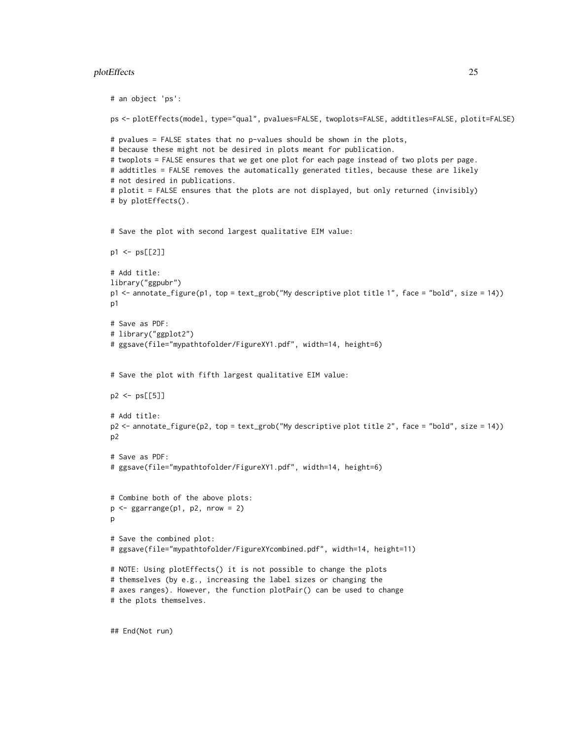# plotEffects 25

```
# an object 'ps':
ps <- plotEffects(model, type="qual", pvalues=FALSE, twoplots=FALSE, addtitles=FALSE, plotit=FALSE)
# pvalues = FALSE states that no p-values should be shown in the plots,
# because these might not be desired in plots meant for publication.
# twoplots = FALSE ensures that we get one plot for each page instead of two plots per page.
# addtitles = FALSE removes the automatically generated titles, because these are likely
# not desired in publications.
# plotit = FALSE ensures that the plots are not displayed, but only returned (invisibly)
# by plotEffects().
# Save the plot with second largest qualitative EIM value:
p1 <- ps[[2]]
# Add title:
library("ggpubr")
p1 <- annotate_figure(p1, top = text_grob("My descriptive plot title 1", face = "bold", size = 14))
p1
# Save as PDF:
# library("ggplot2")
# ggsave(file="mypathtofolder/FigureXY1.pdf", width=14, height=6)
# Save the plot with fifth largest qualitative EIM value:
p2 <- ps[[5]]
# Add title:
p2 <- annotate_figure(p2, top = text_grob("My descriptive plot title 2", face = "bold", size = 14))
p2
# Save as PDF:
# ggsave(file="mypathtofolder/FigureXY1.pdf", width=14, height=6)
# Combine both of the above plots:
p \leftarrow ggarrange(p1, p2, nrow = 2)
p
# Save the combined plot:
# ggsave(file="mypathtofolder/FigureXYcombined.pdf", width=14, height=11)
# NOTE: Using plotEffects() it is not possible to change the plots
# themselves (by e.g., increasing the label sizes or changing the
# axes ranges). However, the function plotPair() can be used to change
# the plots themselves.
```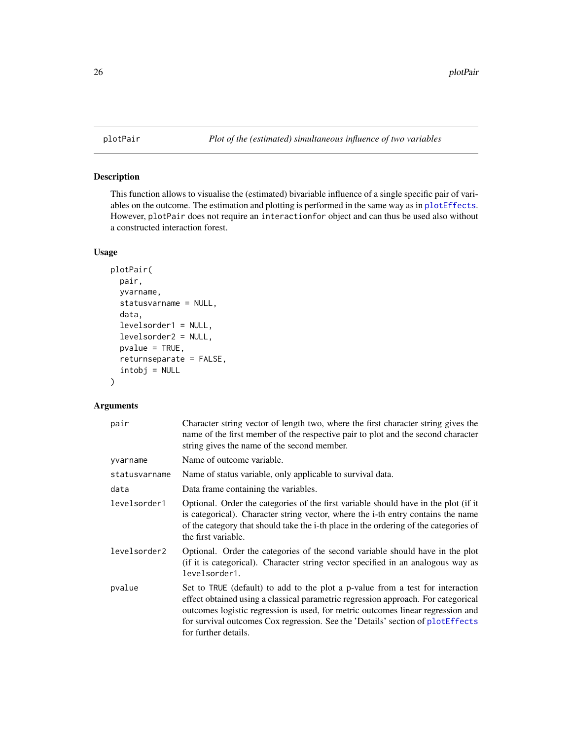<span id="page-25-1"></span><span id="page-25-0"></span>

# Description

This function allows to visualise the (estimated) bivariable influence of a single specific pair of variables on the outcome. The estimation and plotting is performed in the same way as in [plotEffects](#page-19-1). However, plotPair does not require an interactionfor object and can thus be used also without a constructed interaction forest.

# Usage

```
plotPair(
 pair,
 yvarname,
  statusvarname = NULL,
  data,
  levelsorder1 = NULL,
  levelsorder2 = NULL,
 pvalue = TRUE,
  returnseparate = FALSE,
  intobj = NULL)
```
# Arguments

| pair          | Character string vector of length two, where the first character string gives the<br>name of the first member of the respective pair to plot and the second character<br>string gives the name of the second member.                                                                                                                                             |
|---------------|------------------------------------------------------------------------------------------------------------------------------------------------------------------------------------------------------------------------------------------------------------------------------------------------------------------------------------------------------------------|
| yvarname      | Name of outcome variable.                                                                                                                                                                                                                                                                                                                                        |
| statusvarname | Name of status variable, only applicable to survival data.                                                                                                                                                                                                                                                                                                       |
| data          | Data frame containing the variables.                                                                                                                                                                                                                                                                                                                             |
| levelsorder1  | Optional. Order the categories of the first variable should have in the plot (if it<br>is categorical). Character string vector, where the i-th entry contains the name<br>of the category that should take the i-th place in the ordering of the categories of<br>the first variable.                                                                           |
| levelsorder2  | Optional. Order the categories of the second variable should have in the plot<br>(if it is categorical). Character string vector specified in an analogous way as<br>levelsorder1.                                                                                                                                                                               |
| pvalue        | Set to TRUE (default) to add to the plot a p-value from a test for interaction<br>effect obtained using a classical parametric regression approach. For categorical<br>outcomes logistic regression is used, for metric outcomes linear regression and<br>for survival outcomes Cox regression. See the 'Details' section of plotEffects<br>for further details. |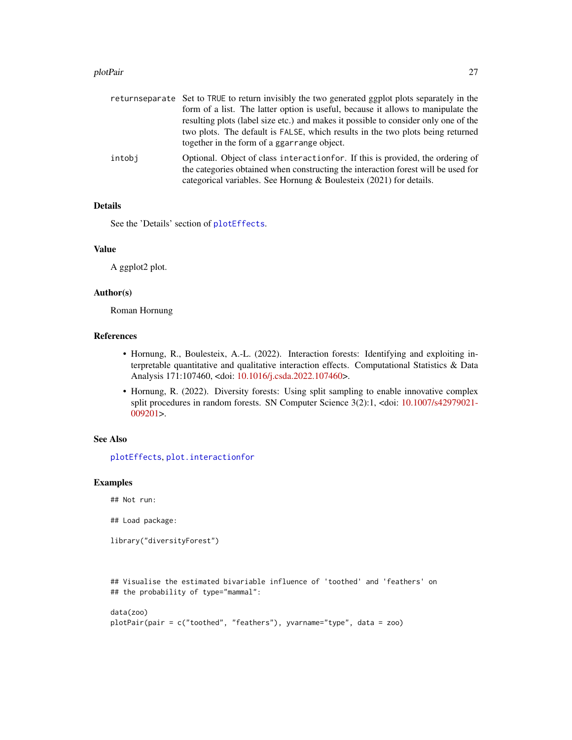#### <span id="page-26-0"></span>plotPair 27

|        | returnseparate Set to TRUE to return invisibly the two generated ggplot plots separately in the<br>form of a list. The latter option is useful, because it allows to manipulate the                                                         |
|--------|---------------------------------------------------------------------------------------------------------------------------------------------------------------------------------------------------------------------------------------------|
|        | resulting plots (label size etc.) and makes it possible to consider only one of the<br>two plots. The default is FALSE, which results in the two plots being returned<br>together in the form of a ggarrange object.                        |
| intobj | Optional. Object of class interaction for. If this is provided, the ordering of<br>the categories obtained when constructing the interaction forest will be used for<br>categorical variables. See Hornung & Boulesteix (2021) for details. |

# Details

See the 'Details' section of [plotEffects](#page-19-1).

#### Value

A ggplot2 plot.

# Author(s)

Roman Hornung

# References

- Hornung, R., Boulesteix, A.-L. (2022). Interaction forests: Identifying and exploiting interpretable quantitative and qualitative interaction effects. Computational Statistics & Data Analysis 171:107460, <doi: [10.1016/j.csda.2022.107460>](https://doi.org/10.1016/j.csda.2022.107460).
- Hornung, R. (2022). Diversity forests: Using split sampling to enable innovative complex split procedures in random forests. SN Computer Science 3(2):1, <doi: [10.1007/s42979021-](https://doi.org/10.1007/s42979-021-00920-1) [009201>](https://doi.org/10.1007/s42979-021-00920-1).

#### See Also

[plotEffects](#page-19-1), [plot.interactionfor](#page-17-1)

# Examples

## Not run:

## Load package:

library("diversityForest")

## Visualise the estimated bivariable influence of 'toothed' and 'feathers' on ## the probability of type="mammal":

```
data(zoo)
plotPair(pair = c("toothed", "feathers"), yvarname="type", data = zoo)
```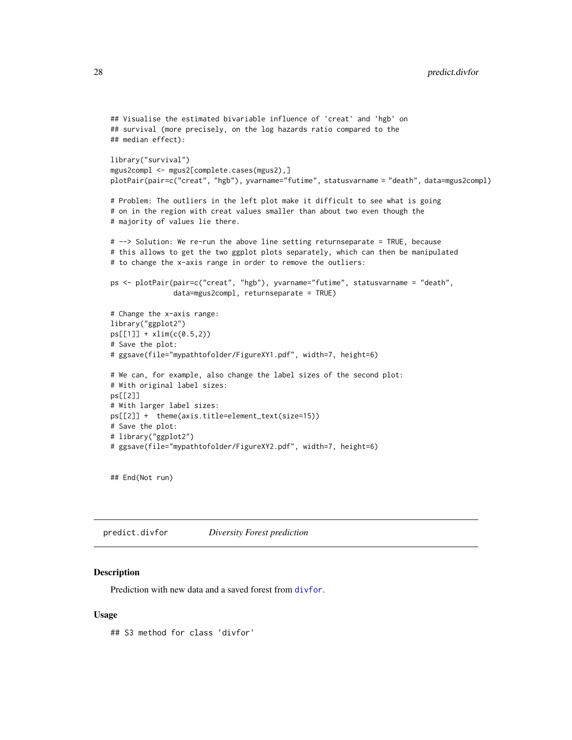```
## Visualise the estimated bivariable influence of 'creat' and 'hgb' on
## survival (more precisely, on the log hazards ratio compared to the
## median effect):
library("survival")
mgus2compl <- mgus2[complete.cases(mgus2),]
plotPair(pair=c("creat", "hgb"), yvarname="futime", statusvarname = "death", data=mgus2compl)
# Problem: The outliers in the left plot make it difficult to see what is going
# on in the region with creat values smaller than about two even though the
# majority of values lie there.
# --> Solution: We re-run the above line setting returnseparate = TRUE, because
# this allows to get the two ggplot plots separately, which can then be manipulated
# to change the x-axis range in order to remove the outliers:
ps <- plotPair(pair=c("creat", "hgb"), yvarname="futime", statusvarname = "death",
               data=mgus2compl, returnseparate = TRUE)
# Change the x-axis range:
library("ggplot2")
ps[[1]] + xlim(c(0.5,2))
# Save the plot:
# ggsave(file="mypathtofolder/FigureXY1.pdf", width=7, height=6)
# We can, for example, also change the label sizes of the second plot:
# With original label sizes:
ps[[2]]
# With larger label sizes:
ps[[2]] + theme(axis.title=element_text(size=15))
# Save the plot:
# library("ggplot2")
# ggsave(file="mypathtofolder/FigureXY2.pdf", width=7, height=6)
```
## End(Not run)

<span id="page-27-1"></span>predict.divfor *Diversity Forest prediction*

#### **Description**

Prediction with new data and a saved forest from [divfor](#page-2-1).

#### Usage

## S3 method for class 'divfor'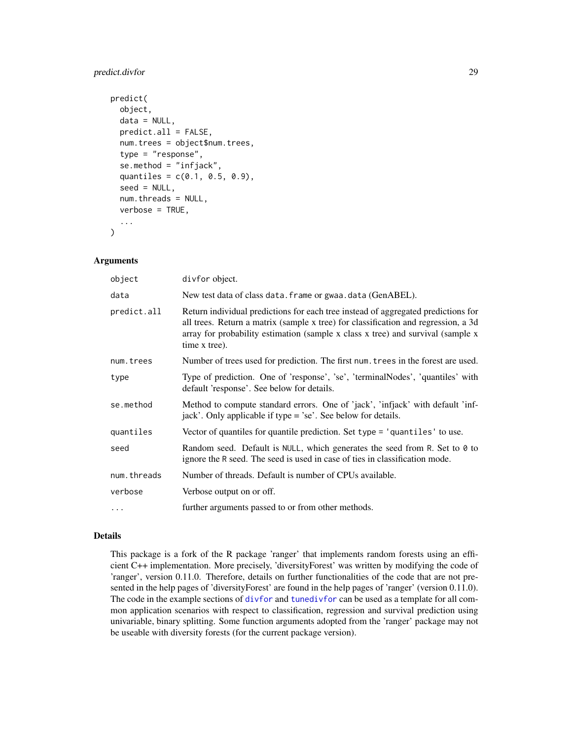# <span id="page-28-0"></span>predict.divfor 29

```
predict(
 object,
  data = NULL,predict.all = FALSE,
  num.trees = object$num.trees,
  type = "response",
  se.method = "infjack",
  quantiles = c(0.1, 0.5, 0.9),
  seed = NULL,
 num.threads = NULL,
  verbose = TRUE,
  ...
)
```
# Arguments

| object      | divfor object.                                                                                                                                                                                                                                                              |
|-------------|-----------------------------------------------------------------------------------------------------------------------------------------------------------------------------------------------------------------------------------------------------------------------------|
| data        | New test data of class data. frame or gwaa. data (GenABEL).                                                                                                                                                                                                                 |
| predict.all | Return individual predictions for each tree instead of aggregated predictions for<br>all trees. Return a matrix (sample x tree) for classification and regression, a 3d<br>array for probability estimation (sample x class x tree) and survival (sample x<br>time x tree). |
| num.trees   | Number of trees used for prediction. The first num. trees in the forest are used.                                                                                                                                                                                           |
| type        | Type of prediction. One of 'response', 'se', 'terminalNodes', 'quantiles' with<br>default 'response'. See below for details.                                                                                                                                                |
| se.method   | Method to compute standard errors. One of 'jack', 'infjack' with default 'inf-<br>jack'. Only applicable if type = 'se'. See below for details.                                                                                                                             |
| quantiles   | Vector of quantiles for quantile prediction. Set type = 'quantiles' to use.                                                                                                                                                                                                 |
| seed        | Random seed. Default is NULL, which generates the seed from R. Set to 0 to<br>ignore the R seed. The seed is used in case of ties in classification mode.                                                                                                                   |
| num.threads | Number of threads. Default is number of CPUs available.                                                                                                                                                                                                                     |
| verbose     | Verbose output on or off.                                                                                                                                                                                                                                                   |
| $\ddots$    | further arguments passed to or from other methods.                                                                                                                                                                                                                          |

# Details

This package is a fork of the R package 'ranger' that implements random forests using an efficient C++ implementation. More precisely, 'diversityForest' was written by modifying the code of 'ranger', version 0.11.0. Therefore, details on further functionalities of the code that are not presented in the help pages of 'diversityForest' are found in the help pages of 'ranger' (version 0.11.0). The code in the example sections of [divfor](#page-2-1) and [tunedivfor](#page-33-1) can be used as a template for all common application scenarios with respect to classification, regression and survival prediction using univariable, binary splitting. Some function arguments adopted from the 'ranger' package may not be useable with diversity forests (for the current package version).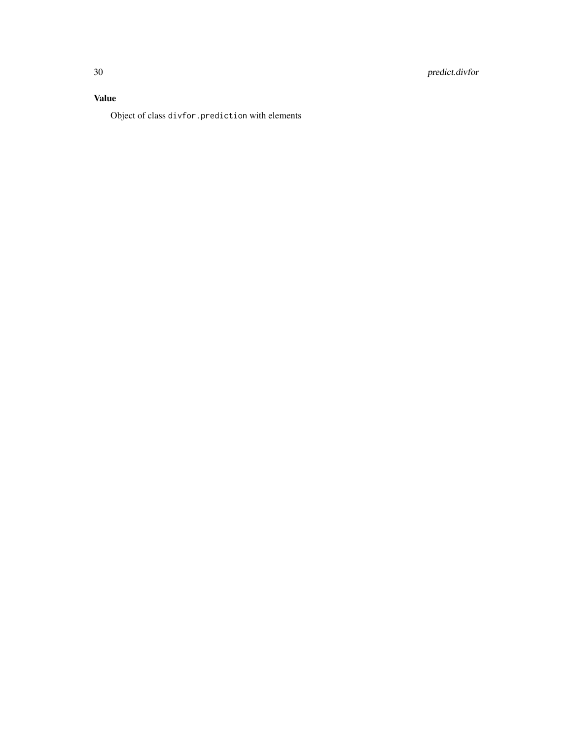# Value

Object of class divfor.prediction with elements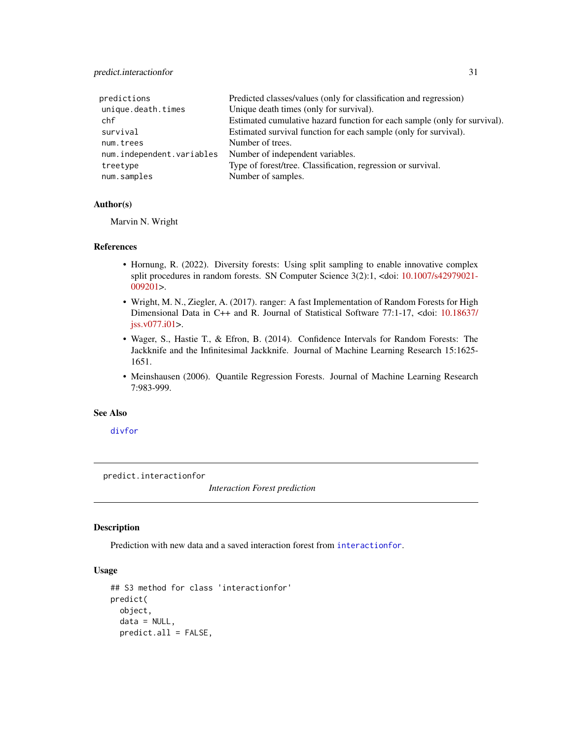# <span id="page-30-0"></span>predict.interactionfor 31

| predictions               | Predicted classes/values (only for classification and regression)         |
|---------------------------|---------------------------------------------------------------------------|
| unique.death.times        | Unique death times (only for survival).                                   |
| chf                       | Estimated cumulative hazard function for each sample (only for survival). |
| survival                  | Estimated survival function for each sample (only for survival).          |
| num.trees                 | Number of trees.                                                          |
| num.independent.variables | Number of independent variables.                                          |
| treetype                  | Type of forest/tree. Classification, regression or survival.              |
| num.samples               | Number of samples.                                                        |

# Author(s)

Marvin N. Wright

# References

- Hornung, R. (2022). Diversity forests: Using split sampling to enable innovative complex split procedures in random forests. SN Computer Science 3(2):1, <doi: [10.1007/s42979021-](https://doi.org/10.1007/s42979-021-00920-1) [009201>](https://doi.org/10.1007/s42979-021-00920-1).
- Wright, M. N., Ziegler, A. (2017). ranger: A fast Implementation of Random Forests for High Dimensional Data in C++ and R. Journal of Statistical Software 77:1-17, <doi: [10.18637/](https://doi.org/10.18637/jss.v077.i01) [jss.v077.i01>](https://doi.org/10.18637/jss.v077.i01).
- Wager, S., Hastie T., & Efron, B. (2014). Confidence Intervals for Random Forests: The Jackknife and the Infinitesimal Jackknife. Journal of Machine Learning Research 15:1625- 1651.
- Meinshausen (2006). Quantile Regression Forests. Journal of Machine Learning Research 7:983-999.

# See Also

[divfor](#page-2-1)

predict.interactionfor

*Interaction Forest prediction*

# Description

Prediction with new data and a saved interaction forest from [interactionfor](#page-9-1).

# Usage

```
## S3 method for class 'interactionfor'
predict(
 object,
 data = NULL,predict.all = FALSE,
```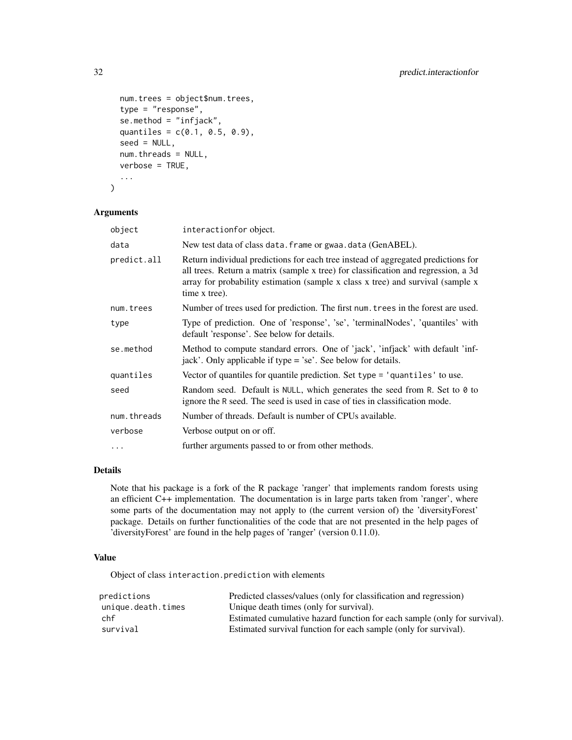```
num.trees = object$num.trees,
type = "response",
se.method = "infjack",
quantiles = c(0.1, 0.5, 0.9),
seed = NULL,num.threads = NULL,
verbose = TRUE,
...
```

```
)
```
# Arguments

| object      | interactionfor object.                                                                                                                                                                                                                                                      |
|-------------|-----------------------------------------------------------------------------------------------------------------------------------------------------------------------------------------------------------------------------------------------------------------------------|
| data        | New test data of class data. frame or gwaa. data (GenABEL).                                                                                                                                                                                                                 |
| predict.all | Return individual predictions for each tree instead of aggregated predictions for<br>all trees. Return a matrix (sample x tree) for classification and regression, a 3d<br>array for probability estimation (sample x class x tree) and survival (sample x<br>time x tree). |
| num.trees   | Number of trees used for prediction. The first num. trees in the forest are used.                                                                                                                                                                                           |
| type        | Type of prediction. One of 'response', 'se', 'terminalNodes', 'quantiles' with<br>default 'response'. See below for details.                                                                                                                                                |
| se.method   | Method to compute standard errors. One of 'jack', 'infjack' with default 'inf-<br>jack'. Only applicable if type = 'se'. See below for details.                                                                                                                             |
| quantiles   | Vector of quantiles for quantile prediction. Set type = 'quantiles' to use.                                                                                                                                                                                                 |
| seed        | Random seed. Default is NULL, which generates the seed from R. Set to $\theta$ to<br>ignore the R seed. The seed is used in case of ties in classification mode.                                                                                                            |
| num.threads | Number of threads. Default is number of CPUs available.                                                                                                                                                                                                                     |
| verbose     | Verbose output on or off.                                                                                                                                                                                                                                                   |
| .           | further arguments passed to or from other methods.                                                                                                                                                                                                                          |

#### Details

Note that his package is a fork of the R package 'ranger' that implements random forests using an efficient C++ implementation. The documentation is in large parts taken from 'ranger', where some parts of the documentation may not apply to (the current version of) the 'diversityForest' package. Details on further functionalities of the code that are not presented in the help pages of 'diversityForest' are found in the help pages of 'ranger' (version 0.11.0).

# Value

Object of class interaction.prediction with elements

| predictions        | Predicted classes/values (only for classification and regression)         |
|--------------------|---------------------------------------------------------------------------|
| unique.death.times | Unique death times (only for survival).                                   |
| chf                | Estimated cumulative hazard function for each sample (only for survival). |
| survival           | Estimated survival function for each sample (only for survival).          |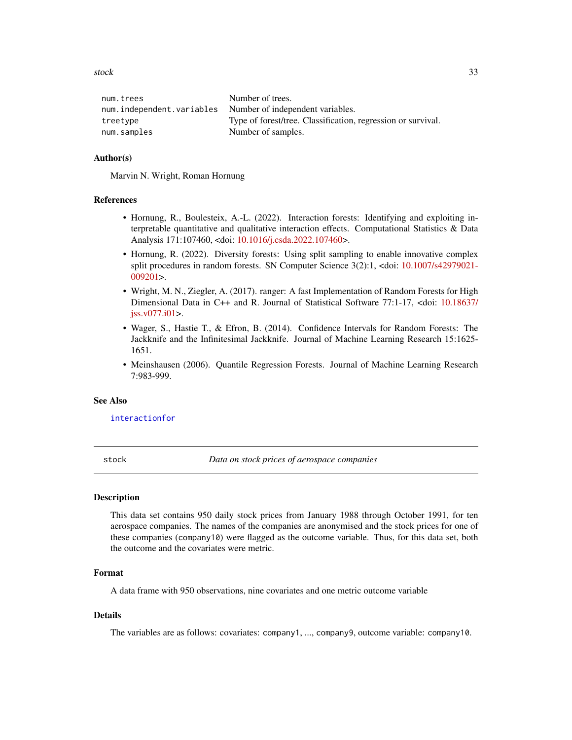<span id="page-32-0"></span>stock 33

| Number of trees.                                             |
|--------------------------------------------------------------|
| num.independent.variables Number of independent variables.   |
| Type of forest/tree. Classification, regression or survival. |
| Number of samples.                                           |
|                                                              |

# Author(s)

Marvin N. Wright, Roman Hornung

# References

- Hornung, R., Boulesteix, A.-L. (2022). Interaction forests: Identifying and exploiting interpretable quantitative and qualitative interaction effects. Computational Statistics & Data Analysis 171:107460, <doi: [10.1016/j.csda.2022.107460>](https://doi.org/10.1016/j.csda.2022.107460).
- Hornung, R. (2022). Diversity forests: Using split sampling to enable innovative complex split procedures in random forests. SN Computer Science 3(2):1, <doi: [10.1007/s42979021-](https://doi.org/10.1007/s42979-021-00920-1) [009201>](https://doi.org/10.1007/s42979-021-00920-1).
- Wright, M. N., Ziegler, A. (2017). ranger: A fast Implementation of Random Forests for High Dimensional Data in C++ and R. Journal of Statistical Software 77:1-17, <doi: [10.18637/](https://doi.org/10.18637/jss.v077.i01) [jss.v077.i01>](https://doi.org/10.18637/jss.v077.i01).
- Wager, S., Hastie T., & Efron, B. (2014). Confidence Intervals for Random Forests: The Jackknife and the Infinitesimal Jackknife. Journal of Machine Learning Research 15:1625- 1651.
- Meinshausen (2006). Quantile Regression Forests. Journal of Machine Learning Research 7:983-999.

# See Also

[interactionfor](#page-9-1)

stock *Data on stock prices of aerospace companies*

#### Description

This data set contains 950 daily stock prices from January 1988 through October 1991, for ten aerospace companies. The names of the companies are anonymised and the stock prices for one of these companies (company10) were flagged as the outcome variable. Thus, for this data set, both the outcome and the covariates were metric.

#### Format

A data frame with 950 observations, nine covariates and one metric outcome variable

#### Details

The variables are as follows: covariates: company1, ..., company9, outcome variable: company10.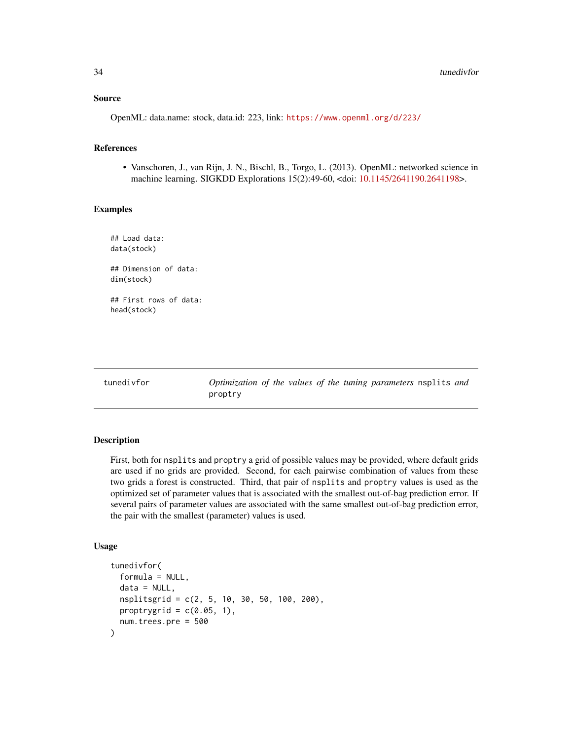# <span id="page-33-0"></span>Source

OpenML: data.name: stock, data.id: 223, link: <https://www.openml.org/d/223/>

# References

• Vanschoren, J., van Rijn, J. N., Bischl, B., Torgo, L. (2013). OpenML: networked science in machine learning. SIGKDD Explorations 15(2):49-60, <doi: [10.1145/2641190.2641198>](https://doi.org/10.1145/2641190.2641198).

#### Examples

## Load data: data(stock) ## Dimension of data: dim(stock) ## First rows of data: head(stock)

<span id="page-33-1"></span>

tunedivfor *Optimization of the values of the tuning parameters* nsplits *and* proptry

# Description

First, both for nsplits and proptry a grid of possible values may be provided, where default grids are used if no grids are provided. Second, for each pairwise combination of values from these two grids a forest is constructed. Third, that pair of nsplits and proptry values is used as the optimized set of parameter values that is associated with the smallest out-of-bag prediction error. If several pairs of parameter values are associated with the same smallest out-of-bag prediction error, the pair with the smallest (parameter) values is used.

#### Usage

```
tunedivfor(
  formula = NULL,data = NULL,nsplitsgrid = c(2, 5, 10, 30, 50, 100, 200),
 proptrygrid = c(0.05, 1),
 num.trees.pre = 500
)
```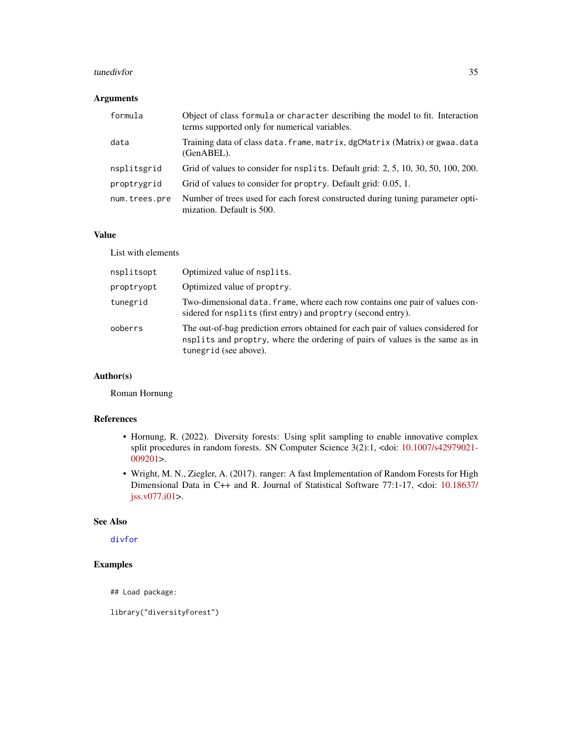#### <span id="page-34-0"></span>tunedivfor 35

# Arguments

| formula       | Object of class formula or character describing the model to fit. Interaction<br>terms supported only for numerical variables. |
|---------------|--------------------------------------------------------------------------------------------------------------------------------|
| data          | Training data of class data. frame, matrix, dgCMatrix (Matrix) or gwaa. data<br>$(GenABEL)$ .                                  |
| nsplitsgrid   | Grid of values to consider for nsplits. Default grid: 2, 5, 10, 30, 50, 100, 200.                                              |
| proptrygrid   | Grid of values to consider for proptry. Default grid: 0.05, 1.                                                                 |
| num.trees.pre | Number of trees used for each forest constructed during tuning parameter opti-<br>mization. Default is 500.                    |

# Value

List with elements

| nsplitsopt | Optimized value of nsplits.                                                                                                                                                               |
|------------|-------------------------------------------------------------------------------------------------------------------------------------------------------------------------------------------|
| proptryopt | Optimized value of proptry.                                                                                                                                                               |
| tunegrid   | Two-dimensional data. frame, where each row contains one pair of values con-<br>sidered for nsplits (first entry) and proptry (second entry).                                             |
| ooberrs    | The out-of-bag prediction errors obtained for each pair of values considered for<br>nsplits and proptry, where the ordering of pairs of values is the same as in<br>tunegrid (see above). |

# Author(s)

Roman Hornung

# References

- Hornung, R. (2022). Diversity forests: Using split sampling to enable innovative complex split procedures in random forests. SN Computer Science 3(2):1, <doi: [10.1007/s42979021-](https://doi.org/10.1007/s42979-021-00920-1) [009201>](https://doi.org/10.1007/s42979-021-00920-1).
- Wright, M. N., Ziegler, A. (2017). ranger: A fast Implementation of Random Forests for High Dimensional Data in C++ and R. Journal of Statistical Software 77:1-17, <doi: [10.18637/](https://doi.org/10.18637/jss.v077.i01) [jss.v077.i01>](https://doi.org/10.18637/jss.v077.i01).

# See Also

[divfor](#page-2-1)

# Examples

## Load package:

library("diversityForest")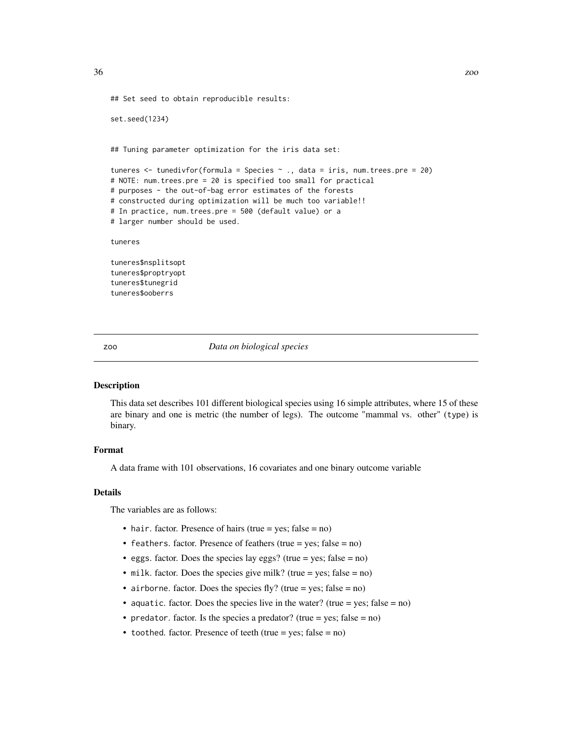```
## Set seed to obtain reproducible results:
set.seed(1234)
## Tuning parameter optimization for the iris data set:
tuneres <- tunedivfor(formula = Species ~ ., data = iris, num.trees.pre = 20)
# NOTE: num.trees.pre = 20 is specified too small for practical
# purposes - the out-of-bag error estimates of the forests
# constructed during optimization will be much too variable!!
# In practice, num.trees.pre = 500 (default value) or a
# larger number should be used.
tuneres
tuneres$nsplitsopt
tuneres$proptryopt
tuneres$tunegrid
```
tuneres\$ooberrs

zoo *Data on biological species*

# Description

This data set describes 101 different biological species using 16 simple attributes, where 15 of these are binary and one is metric (the number of legs). The outcome "mammal vs. other" (type) is binary.

#### Format

A data frame with 101 observations, 16 covariates and one binary outcome variable

# Details

The variables are as follows:

- hair. factor. Presence of hairs (true = yes; false = no)
- feathers. factor. Presence of feathers (true = yes; false = no)
- eggs. factor. Does the species lay eggs? (true = yes; false =  $no$ )
- milk. factor. Does the species give milk? (true = yes; false =  $no$ )
- airborne. factor. Does the species fly? (true = yes; false = no)
- aquatic. factor. Does the species live in the water? (true = yes; false =  $no$ )
- predator. factor. Is the species a predator? (true = yes; false =  $no$ )
- toothed. factor. Presence of teeth (true = yes;  $false = no$ )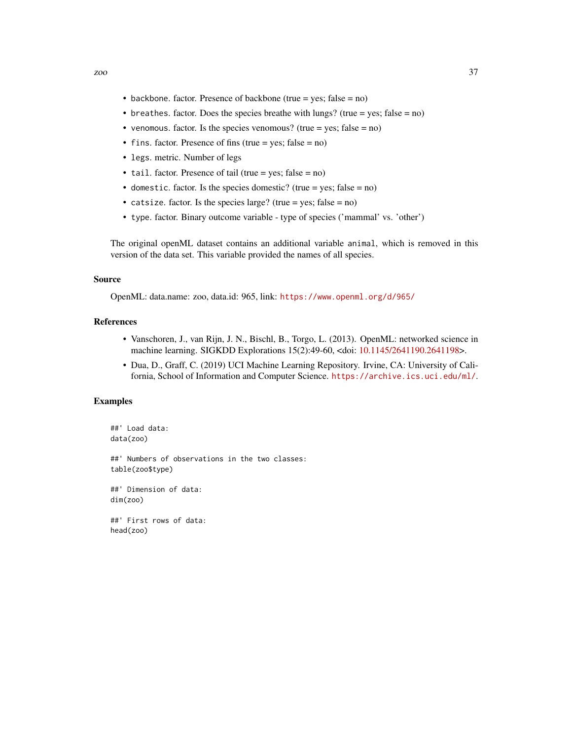- backbone. factor. Presence of backbone (true = yes; false = no)
- breathes. factor. Does the species breathe with lungs? (true = yes; false = no)
- venomous. factor. Is the species venomous? (true = yes; false =  $no$ )
- fins. factor. Presence of fins (true = yes; false = no)
- legs. metric. Number of legs
- tail. factor. Presence of tail (true = yes; false = no)
- domestic. factor. Is the species domestic? (true = yes; false = no)
- catsize. factor. Is the species large? (true = yes; false =  $no$ )
- type. factor. Binary outcome variable type of species ('mammal' vs. 'other')

The original openML dataset contains an additional variable animal, which is removed in this version of the data set. This variable provided the names of all species.

#### Source

OpenML: data.name: zoo, data.id: 965, link: <https://www.openml.org/d/965/>

# References

- Vanschoren, J., van Rijn, J. N., Bischl, B., Torgo, L. (2013). OpenML: networked science in machine learning. SIGKDD Explorations 15(2):49-60, <doi: [10.1145/2641190.2641198>](https://doi.org/10.1145/2641190.2641198).
- Dua, D., Graff, C. (2019) UCI Machine Learning Repository. Irvine, CA: University of California, School of Information and Computer Science. <https://archive.ics.uci.edu/ml/>.

# Examples

```
##' Load data:
data(zoo)
##' Numbers of observations in the two classes:
table(zoo$type)
##' Dimension of data:
dim(zoo)
##' First rows of data:
head(zoo)
```